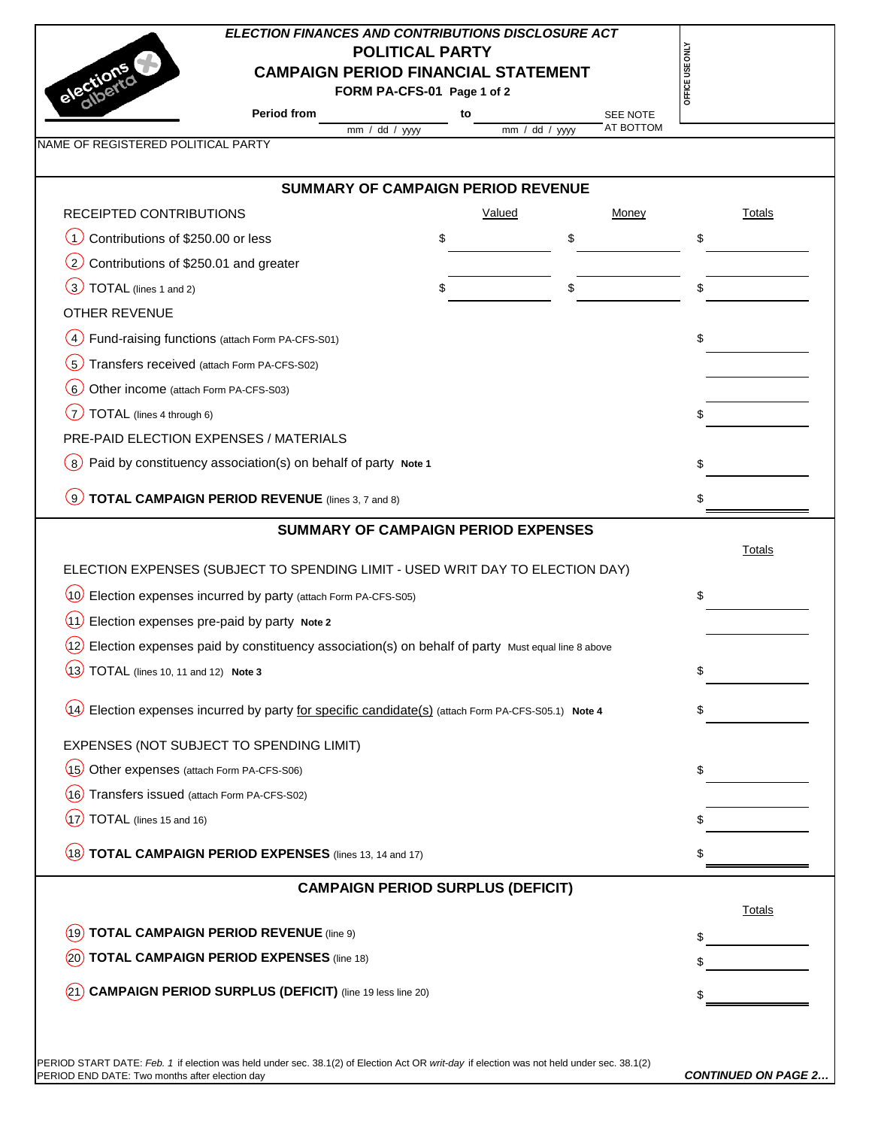| <b>ELECTION FINANCES AND CONTRIBUTIONS DISCLOSURE ACT</b><br><b>CAMPAIGN PERIOD FINANCIAL STATEMENT</b>                                                                                     | <b>POLITICAL PARTY</b>                   |    |               |                       | OFFICE USE ONL' |                            |
|---------------------------------------------------------------------------------------------------------------------------------------------------------------------------------------------|------------------------------------------|----|---------------|-----------------------|-----------------|----------------------------|
| Period from                                                                                                                                                                                 | FORM PA-CFS-01 Page 1 of 2               |    |               |                       |                 |                            |
|                                                                                                                                                                                             | mm / dd / yyyy                           | to | mm / dd / yyy | SEE NOTE<br>AT BOTTOM |                 |                            |
| NAME OF REGISTERED POLITICAL PARTY                                                                                                                                                          |                                          |    |               |                       |                 |                            |
| <b>SUMMARY OF CAMPAIGN PERIOD REVENUE</b>                                                                                                                                                   |                                          |    |               |                       |                 |                            |
| RECEIPTED CONTRIBUTIONS                                                                                                                                                                     |                                          |    | Valued        | Money                 |                 | <b>Totals</b>              |
| Contributions of \$250.00 or less<br>$\overline{\mathcal{A}}$                                                                                                                               | \$                                       |    | \$            |                       | \$              |                            |
| (2)<br>Contributions of \$250.01 and greater                                                                                                                                                |                                          |    |               |                       |                 |                            |
| $\left(3\right)$<br>TOTAL (lines 1 and 2)                                                                                                                                                   |                                          |    | \$            |                       | \$              |                            |
| <b>OTHER REVENUE</b>                                                                                                                                                                        |                                          |    |               |                       |                 |                            |
| $\left( 4\right)$<br>Fund-raising functions (attach Form PA-CFS-S01)                                                                                                                        |                                          |    |               |                       | \$              |                            |
| (5)<br>Transfers received (attach Form PA-CFS-S02)                                                                                                                                          |                                          |    |               |                       |                 |                            |
| (6)<br>Other income (attach Form PA-CFS-S03)                                                                                                                                                |                                          |    |               |                       |                 |                            |
| .7<br>TOTAL (lines 4 through 6)                                                                                                                                                             |                                          |    |               |                       |                 |                            |
| PRE-PAID ELECTION EXPENSES / MATERIALS                                                                                                                                                      |                                          |    |               |                       |                 |                            |
| Paid by constituency association(s) on behalf of party Note 1<br>$\left(8\right)$                                                                                                           |                                          |    |               |                       | \$              |                            |
|                                                                                                                                                                                             |                                          |    |               |                       |                 |                            |
| <b>TOTAL CAMPAIGN PERIOD REVENUE</b> (lines 3, 7 and 8)<br>ر و.                                                                                                                             |                                          |    |               |                       | S               |                            |
| ELECTION EXPENSES (SUBJECT TO SPENDING LIMIT - USED WRIT DAY TO ELECTION DAY)<br>(10) Election expenses incurred by party (attach Form PA-CFS-S05)                                          |                                          |    |               |                       | \$              | <b>Totals</b>              |
| (11)<br>Election expenses pre-paid by party Note 2                                                                                                                                          |                                          |    |               |                       |                 |                            |
| $(12)$ Election expenses paid by constituency association(s) on behalf of party Must equal line 8 above                                                                                     |                                          |    |               |                       |                 |                            |
| $(13)$ TOTAL (lines 10, 11 and 12) Note 3                                                                                                                                                   |                                          |    |               |                       |                 |                            |
| (14) Election expenses incurred by party for specific candidate(s) (attach Form PA-CFS-S05.1) Note 4                                                                                        |                                          |    |               |                       | \$              |                            |
| EXPENSES (NOT SUBJECT TO SPENDING LIMIT)                                                                                                                                                    |                                          |    |               |                       |                 |                            |
| (15) Other expenses (attach Form PA-CFS-S06)                                                                                                                                                |                                          |    |               |                       | \$              |                            |
| (16) Transfers issued (attach Form PA-CFS-S02)                                                                                                                                              |                                          |    |               |                       |                 |                            |
| $(17)$ TOTAL (lines 15 and 16)                                                                                                                                                              |                                          |    |               |                       |                 |                            |
| $(18)$ TOTAL CAMPAIGN PERIOD EXPENSES (lines 13, 14 and 17)                                                                                                                                 |                                          |    |               |                       |                 |                            |
|                                                                                                                                                                                             | <b>CAMPAIGN PERIOD SURPLUS (DEFICIT)</b> |    |               |                       |                 |                            |
|                                                                                                                                                                                             |                                          |    |               |                       |                 | Totals                     |
| <b>TOTAL CAMPAIGN PERIOD REVENUE (line 9)</b><br>(19                                                                                                                                        |                                          |    |               |                       |                 |                            |
| <b>TOTAL CAMPAIGN PERIOD EXPENSES (line 18)</b>                                                                                                                                             |                                          |    |               |                       |                 |                            |
| <b>CAMPAIGN PERIOD SURPLUS (DEFICIT)</b> (line 19 less line 20)                                                                                                                             |                                          |    |               |                       |                 |                            |
| PERIOD START DATE: Feb. 1 if election was held under sec. 38.1(2) of Election Act OR writ-day if election was not held under sec. 38.1(2)<br>PERIOD END DATE: Two months after election day |                                          |    |               |                       |                 | <b>CONTINUED ON PAGE 2</b> |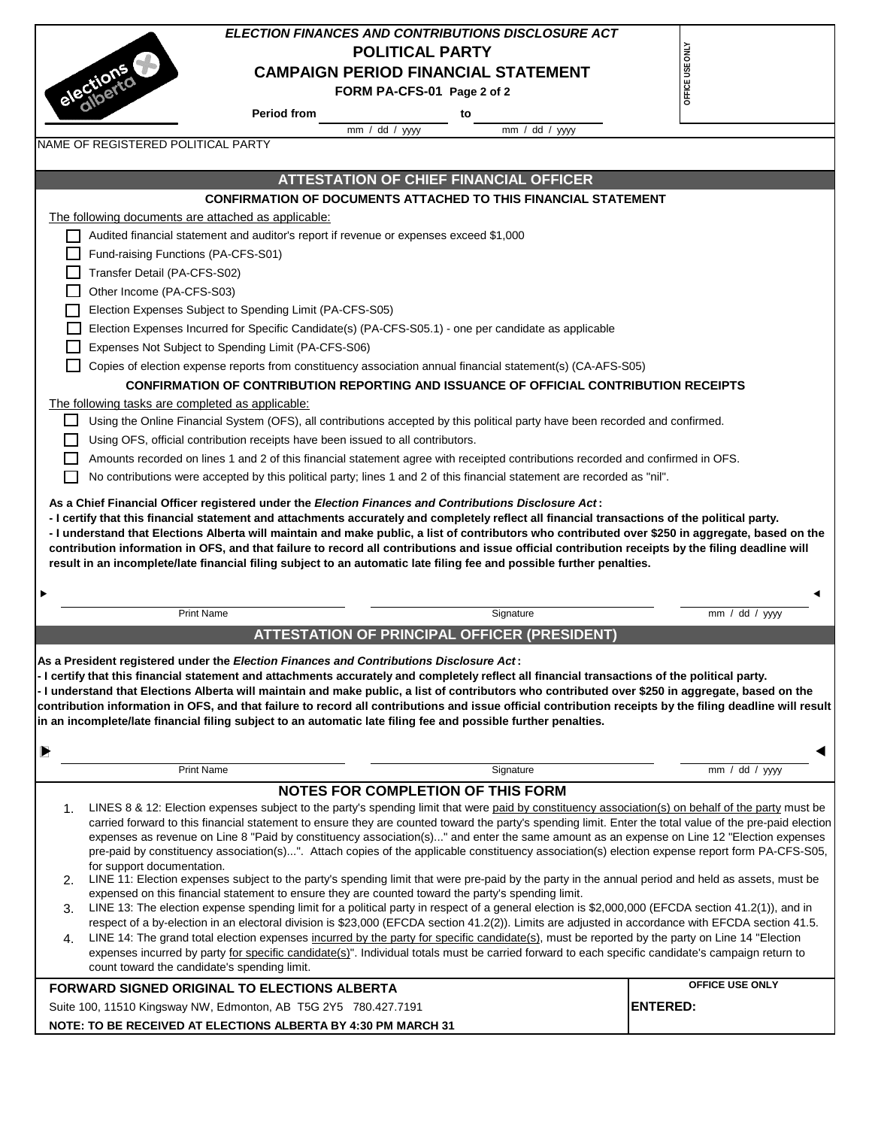| <b>ELECTION FINANCES AND CONTRIBUTIONS DISCLOSURE ACT</b><br>OFFICE USE ONLY<br><b>POLITICAL PARTY</b><br>alections                                                                                                                                                                                                                                                                                                                                                                                                                                                                                                                                                                                                                                                                                                                                                                                                                                                                                                                                                                                                                                                                                                                                                                                                                                                                                                                                                                                                                                                                          |
|----------------------------------------------------------------------------------------------------------------------------------------------------------------------------------------------------------------------------------------------------------------------------------------------------------------------------------------------------------------------------------------------------------------------------------------------------------------------------------------------------------------------------------------------------------------------------------------------------------------------------------------------------------------------------------------------------------------------------------------------------------------------------------------------------------------------------------------------------------------------------------------------------------------------------------------------------------------------------------------------------------------------------------------------------------------------------------------------------------------------------------------------------------------------------------------------------------------------------------------------------------------------------------------------------------------------------------------------------------------------------------------------------------------------------------------------------------------------------------------------------------------------------------------------------------------------------------------------|
|                                                                                                                                                                                                                                                                                                                                                                                                                                                                                                                                                                                                                                                                                                                                                                                                                                                                                                                                                                                                                                                                                                                                                                                                                                                                                                                                                                                                                                                                                                                                                                                              |
|                                                                                                                                                                                                                                                                                                                                                                                                                                                                                                                                                                                                                                                                                                                                                                                                                                                                                                                                                                                                                                                                                                                                                                                                                                                                                                                                                                                                                                                                                                                                                                                              |
| <b>CAMPAIGN PERIOD FINANCIAL STATEMENT</b>                                                                                                                                                                                                                                                                                                                                                                                                                                                                                                                                                                                                                                                                                                                                                                                                                                                                                                                                                                                                                                                                                                                                                                                                                                                                                                                                                                                                                                                                                                                                                   |
| FORM PA-CFS-01 Page 2 of 2                                                                                                                                                                                                                                                                                                                                                                                                                                                                                                                                                                                                                                                                                                                                                                                                                                                                                                                                                                                                                                                                                                                                                                                                                                                                                                                                                                                                                                                                                                                                                                   |
| <b>Period from</b><br>to                                                                                                                                                                                                                                                                                                                                                                                                                                                                                                                                                                                                                                                                                                                                                                                                                                                                                                                                                                                                                                                                                                                                                                                                                                                                                                                                                                                                                                                                                                                                                                     |
| mm / dd / yyyy<br>mm / dd / yyy                                                                                                                                                                                                                                                                                                                                                                                                                                                                                                                                                                                                                                                                                                                                                                                                                                                                                                                                                                                                                                                                                                                                                                                                                                                                                                                                                                                                                                                                                                                                                              |
| NAME OF REGISTERED POLITICAL PARTY                                                                                                                                                                                                                                                                                                                                                                                                                                                                                                                                                                                                                                                                                                                                                                                                                                                                                                                                                                                                                                                                                                                                                                                                                                                                                                                                                                                                                                                                                                                                                           |
|                                                                                                                                                                                                                                                                                                                                                                                                                                                                                                                                                                                                                                                                                                                                                                                                                                                                                                                                                                                                                                                                                                                                                                                                                                                                                                                                                                                                                                                                                                                                                                                              |
| <b>ATTESTATION OF CHIEF FINANCIAL OFFICER</b>                                                                                                                                                                                                                                                                                                                                                                                                                                                                                                                                                                                                                                                                                                                                                                                                                                                                                                                                                                                                                                                                                                                                                                                                                                                                                                                                                                                                                                                                                                                                                |
| <b>CONFIRMATION OF DOCUMENTS ATTACHED TO THIS FINANCIAL STATEMENT</b>                                                                                                                                                                                                                                                                                                                                                                                                                                                                                                                                                                                                                                                                                                                                                                                                                                                                                                                                                                                                                                                                                                                                                                                                                                                                                                                                                                                                                                                                                                                        |
| The following documents are attached as applicable:                                                                                                                                                                                                                                                                                                                                                                                                                                                                                                                                                                                                                                                                                                                                                                                                                                                                                                                                                                                                                                                                                                                                                                                                                                                                                                                                                                                                                                                                                                                                          |
| Audited financial statement and auditor's report if revenue or expenses exceed \$1,000                                                                                                                                                                                                                                                                                                                                                                                                                                                                                                                                                                                                                                                                                                                                                                                                                                                                                                                                                                                                                                                                                                                                                                                                                                                                                                                                                                                                                                                                                                       |
| Fund-raising Functions (PA-CFS-S01)                                                                                                                                                                                                                                                                                                                                                                                                                                                                                                                                                                                                                                                                                                                                                                                                                                                                                                                                                                                                                                                                                                                                                                                                                                                                                                                                                                                                                                                                                                                                                          |
| Transfer Detail (PA-CFS-S02)                                                                                                                                                                                                                                                                                                                                                                                                                                                                                                                                                                                                                                                                                                                                                                                                                                                                                                                                                                                                                                                                                                                                                                                                                                                                                                                                                                                                                                                                                                                                                                 |
| Other Income (PA-CFS-S03)                                                                                                                                                                                                                                                                                                                                                                                                                                                                                                                                                                                                                                                                                                                                                                                                                                                                                                                                                                                                                                                                                                                                                                                                                                                                                                                                                                                                                                                                                                                                                                    |
| Election Expenses Subject to Spending Limit (PA-CFS-S05)                                                                                                                                                                                                                                                                                                                                                                                                                                                                                                                                                                                                                                                                                                                                                                                                                                                                                                                                                                                                                                                                                                                                                                                                                                                                                                                                                                                                                                                                                                                                     |
| Election Expenses Incurred for Specific Candidate(s) (PA-CFS-S05.1) - one per candidate as applicable                                                                                                                                                                                                                                                                                                                                                                                                                                                                                                                                                                                                                                                                                                                                                                                                                                                                                                                                                                                                                                                                                                                                                                                                                                                                                                                                                                                                                                                                                        |
| Expenses Not Subject to Spending Limit (PA-CFS-S06)                                                                                                                                                                                                                                                                                                                                                                                                                                                                                                                                                                                                                                                                                                                                                                                                                                                                                                                                                                                                                                                                                                                                                                                                                                                                                                                                                                                                                                                                                                                                          |
| Copies of election expense reports from constituency association annual financial statement(s) (CA-AFS-S05)                                                                                                                                                                                                                                                                                                                                                                                                                                                                                                                                                                                                                                                                                                                                                                                                                                                                                                                                                                                                                                                                                                                                                                                                                                                                                                                                                                                                                                                                                  |
| <b>CONFIRMATION OF CONTRIBUTION REPORTING AND ISSUANCE OF OFFICIAL CONTRIBUTION RECEIPTS</b>                                                                                                                                                                                                                                                                                                                                                                                                                                                                                                                                                                                                                                                                                                                                                                                                                                                                                                                                                                                                                                                                                                                                                                                                                                                                                                                                                                                                                                                                                                 |
| The following tasks are completed as applicable:                                                                                                                                                                                                                                                                                                                                                                                                                                                                                                                                                                                                                                                                                                                                                                                                                                                                                                                                                                                                                                                                                                                                                                                                                                                                                                                                                                                                                                                                                                                                             |
| Using the Online Financial System (OFS), all contributions accepted by this political party have been recorded and confirmed.                                                                                                                                                                                                                                                                                                                                                                                                                                                                                                                                                                                                                                                                                                                                                                                                                                                                                                                                                                                                                                                                                                                                                                                                                                                                                                                                                                                                                                                                |
| Using OFS, official contribution receipts have been issued to all contributors.                                                                                                                                                                                                                                                                                                                                                                                                                                                                                                                                                                                                                                                                                                                                                                                                                                                                                                                                                                                                                                                                                                                                                                                                                                                                                                                                                                                                                                                                                                              |
| Amounts recorded on lines 1 and 2 of this financial statement agree with receipted contributions recorded and confirmed in OFS.                                                                                                                                                                                                                                                                                                                                                                                                                                                                                                                                                                                                                                                                                                                                                                                                                                                                                                                                                                                                                                                                                                                                                                                                                                                                                                                                                                                                                                                              |
| No contributions were accepted by this political party; lines 1 and 2 of this financial statement are recorded as "nil".                                                                                                                                                                                                                                                                                                                                                                                                                                                                                                                                                                                                                                                                                                                                                                                                                                                                                                                                                                                                                                                                                                                                                                                                                                                                                                                                                                                                                                                                     |
| - I understand that Elections Alberta will maintain and make public, a list of contributors who contributed over \$250 in aggregate, based on the<br>contribution information in OFS, and that failure to record all contributions and issue official contribution receipts by the filing deadline will<br>result in an incomplete/late financial filing subject to an automatic late filing fee and possible further penalties.                                                                                                                                                                                                                                                                                                                                                                                                                                                                                                                                                                                                                                                                                                                                                                                                                                                                                                                                                                                                                                                                                                                                                             |
|                                                                                                                                                                                                                                                                                                                                                                                                                                                                                                                                                                                                                                                                                                                                                                                                                                                                                                                                                                                                                                                                                                                                                                                                                                                                                                                                                                                                                                                                                                                                                                                              |
| <b>Print Name</b><br>Signature<br>mm / dd / yyy                                                                                                                                                                                                                                                                                                                                                                                                                                                                                                                                                                                                                                                                                                                                                                                                                                                                                                                                                                                                                                                                                                                                                                                                                                                                                                                                                                                                                                                                                                                                              |
| <b>ATTESTATION OF PRINCIPAL OFFICER (PRESIDENT)</b>                                                                                                                                                                                                                                                                                                                                                                                                                                                                                                                                                                                                                                                                                                                                                                                                                                                                                                                                                                                                                                                                                                                                                                                                                                                                                                                                                                                                                                                                                                                                          |
| As a President registered under the Election Finances and Contributions Disclosure Act:<br>- I certify that this financial statement and attachments accurately and completely reflect all financial transactions of the political party.<br>- I understand that Elections Alberta will maintain and make public, a list of contributors who contributed over \$250 in aggregate, based on the<br>contribution information in OFS, and that failure to record all contributions and issue official contribution receipts by the filing deadline will result<br>in an incomplete/late financial filing subject to an automatic late filing fee and possible further penalties.                                                                                                                                                                                                                                                                                                                                                                                                                                                                                                                                                                                                                                                                                                                                                                                                                                                                                                                |
| P                                                                                                                                                                                                                                                                                                                                                                                                                                                                                                                                                                                                                                                                                                                                                                                                                                                                                                                                                                                                                                                                                                                                                                                                                                                                                                                                                                                                                                                                                                                                                                                            |
| Print Name<br>Signature<br>mm / dd / yyy                                                                                                                                                                                                                                                                                                                                                                                                                                                                                                                                                                                                                                                                                                                                                                                                                                                                                                                                                                                                                                                                                                                                                                                                                                                                                                                                                                                                                                                                                                                                                     |
| <b>NOTES FOR COMPLETION OF THIS FORM</b>                                                                                                                                                                                                                                                                                                                                                                                                                                                                                                                                                                                                                                                                                                                                                                                                                                                                                                                                                                                                                                                                                                                                                                                                                                                                                                                                                                                                                                                                                                                                                     |
| LINES 8 & 12: Election expenses subject to the party's spending limit that were paid by constituency association(s) on behalf of the party must be<br>1.<br>carried forward to this financial statement to ensure they are counted toward the party's spending limit. Enter the total value of the pre-paid election<br>expenses as revenue on Line 8 "Paid by constituency association(s)" and enter the same amount as an expense on Line 12 "Election expenses<br>pre-paid by constituency association(s)". Attach copies of the applicable constituency association(s) election expense report form PA-CFS-S05,<br>for support documentation.<br>2. LINE 11: Election expenses subject to the party's spending limit that were pre-paid by the party in the annual period and held as assets, must be<br>expensed on this financial statement to ensure they are counted toward the party's spending limit.<br>LINE 13: The election expense spending limit for a political party in respect of a general election is \$2,000,000 (EFCDA section 41.2(1)), and in<br>3.<br>respect of a by-election in an electoral division is \$23,000 (EFCDA section 41.2(2)). Limits are adjusted in accordance with EFCDA section 41.5.<br>LINE 14: The grand total election expenses incurred by the party for specific candidate(s), must be reported by the party on Line 14 "Election<br>4.<br>expenses incurred by party for specific candidate(s)". Individual totals must be carried forward to each specific candidate's campaign return to<br>count toward the candidate's spending limit. |
| OFFICE USE ONLY<br>FORWARD SIGNED ORIGINAL TO ELECTIONS ALBERTA                                                                                                                                                                                                                                                                                                                                                                                                                                                                                                                                                                                                                                                                                                                                                                                                                                                                                                                                                                                                                                                                                                                                                                                                                                                                                                                                                                                                                                                                                                                              |
| <b>ENTERED:</b><br>Suite 100, 11510 Kingsway NW, Edmonton, AB T5G 2Y5 780.427.7191                                                                                                                                                                                                                                                                                                                                                                                                                                                                                                                                                                                                                                                                                                                                                                                                                                                                                                                                                                                                                                                                                                                                                                                                                                                                                                                                                                                                                                                                                                           |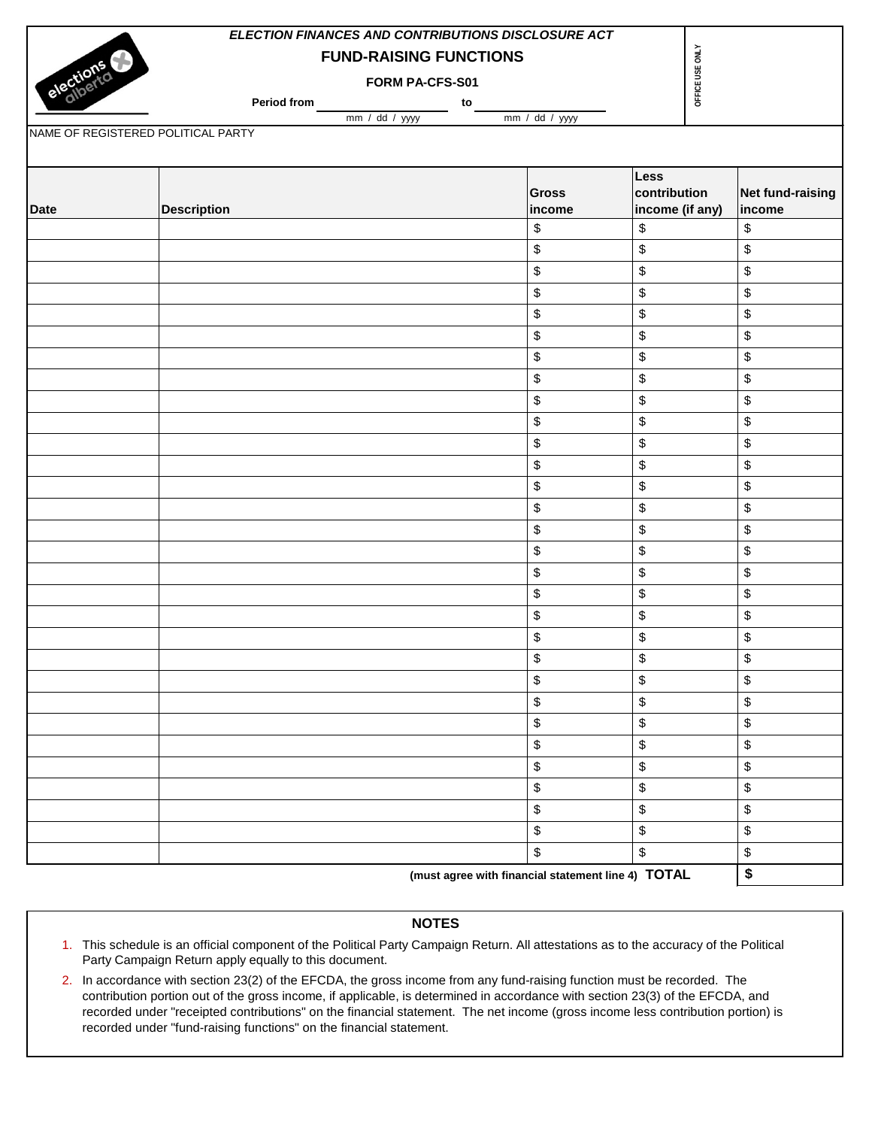|                                    | ELECTION FINANCES AND CONTRIBUTIONS DISCLOSURE ACT |                                                    |                            |                                           |
|------------------------------------|----------------------------------------------------|----------------------------------------------------|----------------------------|-------------------------------------------|
|                                    |                                                    | <b>FUND-RAISING FUNCTIONS</b>                      | OFFICE USE ONLY            |                                           |
| elections                          |                                                    | FORM PA-CFS-S01                                    |                            |                                           |
|                                    | Period from                                        | to                                                 |                            |                                           |
|                                    | mm / dd / yyy                                      | mm / dd / yyyy                                     |                            |                                           |
| NAME OF REGISTERED POLITICAL PARTY |                                                    |                                                    |                            |                                           |
|                                    |                                                    |                                                    |                            |                                           |
|                                    |                                                    | <b>Gross</b>                                       | Less<br>contribution       | Net fund-raising                          |
| <b>Date</b>                        | <b>Description</b>                                 | income                                             | income (if any)            | income                                    |
|                                    |                                                    | \$                                                 | \$                         | \$                                        |
|                                    |                                                    | \$                                                 | \$                         | \$                                        |
|                                    |                                                    | \$                                                 | \$                         | \$                                        |
|                                    |                                                    | \$                                                 | \$                         | $\, \, \raisebox{12pt}{$\scriptstyle \$}$ |
|                                    |                                                    | \$                                                 | \$                         | \$                                        |
|                                    |                                                    | \$                                                 | \$                         | \$                                        |
|                                    |                                                    | \$                                                 | \$                         | \$                                        |
|                                    |                                                    | \$                                                 | $\boldsymbol{\mathsf{\$}}$ | \$                                        |
|                                    |                                                    | \$                                                 | \$                         | \$                                        |
|                                    |                                                    | \$                                                 | \$                         | \$                                        |
|                                    |                                                    | \$                                                 | \$                         | \$                                        |
|                                    |                                                    | \$                                                 | \$                         | \$                                        |
|                                    |                                                    | \$                                                 | \$                         | \$                                        |
|                                    |                                                    | \$                                                 | \$                         | $\,$                                      |
|                                    |                                                    | \$                                                 | \$                         | \$                                        |
|                                    |                                                    | \$                                                 | \$                         | \$                                        |
|                                    |                                                    | \$                                                 | \$                         | \$                                        |
|                                    |                                                    | \$                                                 | \$                         | $\,$                                      |
|                                    |                                                    | \$                                                 | \$                         | \$                                        |
|                                    |                                                    | \$                                                 | $\,$                       | \$                                        |
|                                    |                                                    | \$                                                 | \$                         | \$                                        |
|                                    |                                                    | \$                                                 | \$                         | \$                                        |
|                                    |                                                    | \$                                                 | $\boldsymbol{\mathsf{\$}}$ | \$                                        |
|                                    |                                                    | \$                                                 | $\boldsymbol{\mathsf{\$}}$ | \$                                        |
|                                    |                                                    | \$                                                 | \$                         | \$                                        |
|                                    |                                                    | \$                                                 | \$                         | \$                                        |
|                                    |                                                    | \$                                                 | \$                         | \$                                        |
|                                    |                                                    | \$                                                 | \$                         | \$                                        |
|                                    |                                                    | \$                                                 | $\boldsymbol{\mathsf{\$}}$ | \$                                        |
|                                    |                                                    | \$                                                 | \$                         | \$                                        |
|                                    |                                                    | (must agree with financial statement line 4) TOTAL |                            | \$                                        |

# **NOTES**

- 1. This schedule is an official component of the Political Party Campaign Return. All attestations as to the accuracy of the Political Party Campaign Return apply equally to this document.
- 2. In accordance with section 23(2) of the EFCDA, the gross income from any fund-raising function must be recorded. The contribution portion out of the gross income, if applicable, is determined in accordance with section 23(3) of the EFCDA, and recorded under "receipted contributions" on the financial statement. The net income (gross income less contribution portion) is recorded under "fund-raising functions" on the financial statement.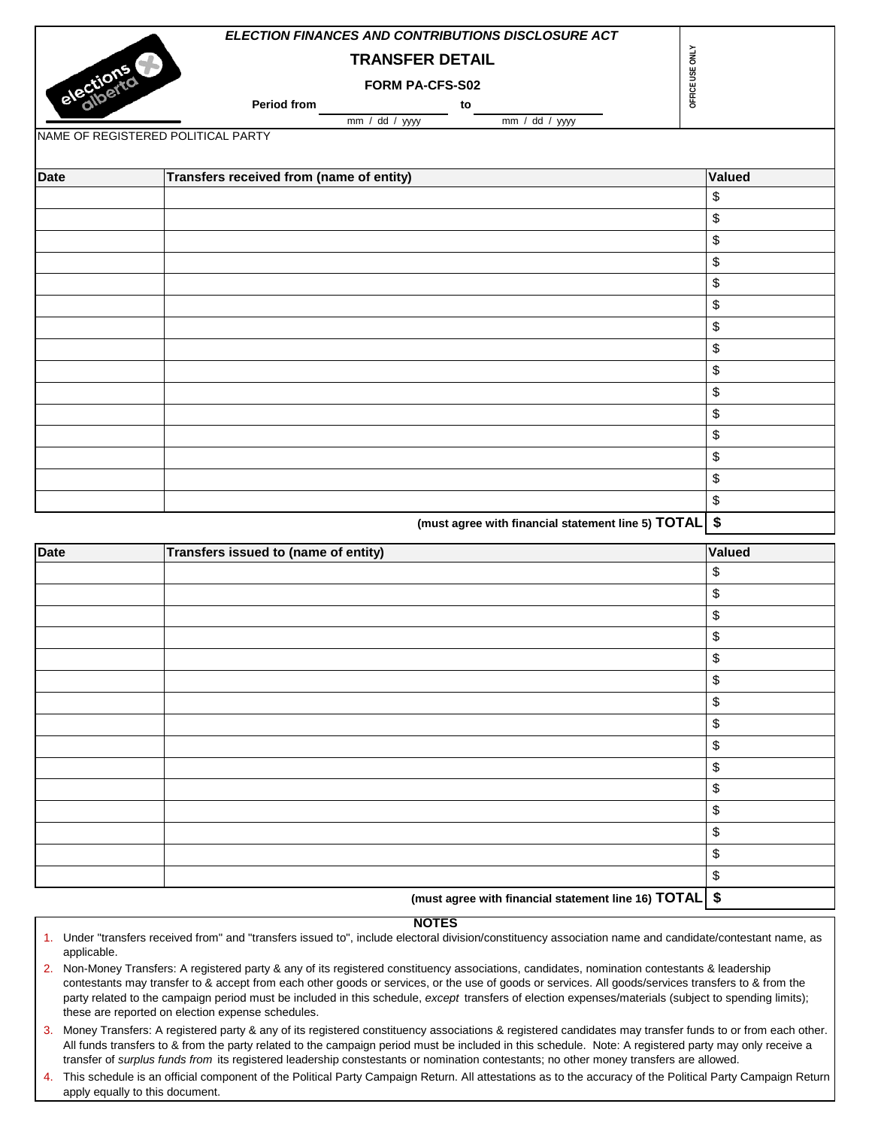|             | <b>ELECTION FINANCES AND CONTRIBUTIONS DISCLOSURE ACT</b>                |        |
|-------------|--------------------------------------------------------------------------|--------|
|             | OFFICE USE ONLY<br><b>TRANSFER DETAIL</b>                                |        |
|             | elections<br>FORM PA-CFS-S02                                             |        |
|             | Period from<br>to                                                        |        |
|             | mm / dd / yyyy<br>mm / dd / yyy<br>NAME OF REGISTERED POLITICAL PARTY    |        |
|             |                                                                          |        |
| <b>Date</b> | Transfers received from (name of entity)                                 | Valued |
|             |                                                                          | \$     |
|             |                                                                          | \$     |
|             |                                                                          | \$     |
|             |                                                                          | \$     |
|             |                                                                          | \$     |
|             |                                                                          | \$     |
|             |                                                                          | \$     |
|             |                                                                          | \$     |
|             |                                                                          | \$     |
|             |                                                                          | \$     |
|             |                                                                          | \$     |
|             |                                                                          | \$     |
|             |                                                                          | \$     |
|             |                                                                          | \$     |
|             |                                                                          | \$     |
|             | $(must\space)$ cause with financial statement line E. TOTAL $\mathbf{r}$ |        |

| (must agree with financial statement line 5) TOTAL \$ |  |  |
|-------------------------------------------------------|--|--|
|-------------------------------------------------------|--|--|

| <b>Date</b> | Transfers issued to (name of entity)                   | Valued                    |
|-------------|--------------------------------------------------------|---------------------------|
|             |                                                        | \$                        |
|             |                                                        | \$                        |
|             |                                                        | \$                        |
|             |                                                        | $\boldsymbol{\$}$         |
|             |                                                        | \$                        |
|             |                                                        | \$                        |
|             |                                                        | \$                        |
|             |                                                        | \$                        |
|             |                                                        | \$                        |
|             |                                                        | \$                        |
|             |                                                        | \$                        |
|             |                                                        | $\boldsymbol{\mathsf{S}}$ |
|             |                                                        | \$                        |
|             |                                                        | $\boldsymbol{\$}$         |
|             |                                                        | \$                        |
|             | (must agree with financial statement line 16) TOTAL \$ |                           |

- 1. Under "transfers received from" and "transfers issued to", include electoral division/constituency association name and candidate/contestant name, as applicable.
- 2. Non-Money Transfers: A registered party & any of its registered constituency associations, candidates, nomination contestants & leadership contestants may transfer to & accept from each other goods or services, or the use of goods or services. All goods/services transfers to & from the party related to the campaign period must be included in this schedule, *except* transfers of election expenses/materials (subject to spending limits); these are reported on election expense schedules.
- 3. Money Transfers: A registered party & any of its registered constituency associations & registered candidates may transfer funds to or from each other. All funds transfers to & from the party related to the campaign period must be included in this schedule. Note: A registered party may only receive a transfer of *surplus funds from* its registered leadership constestants or nomination contestants; no other money transfers are allowed.
- 4. This schedule is an official component of the Political Party Campaign Return. All attestations as to the accuracy of the Political Party Campaign Return apply equally to this document.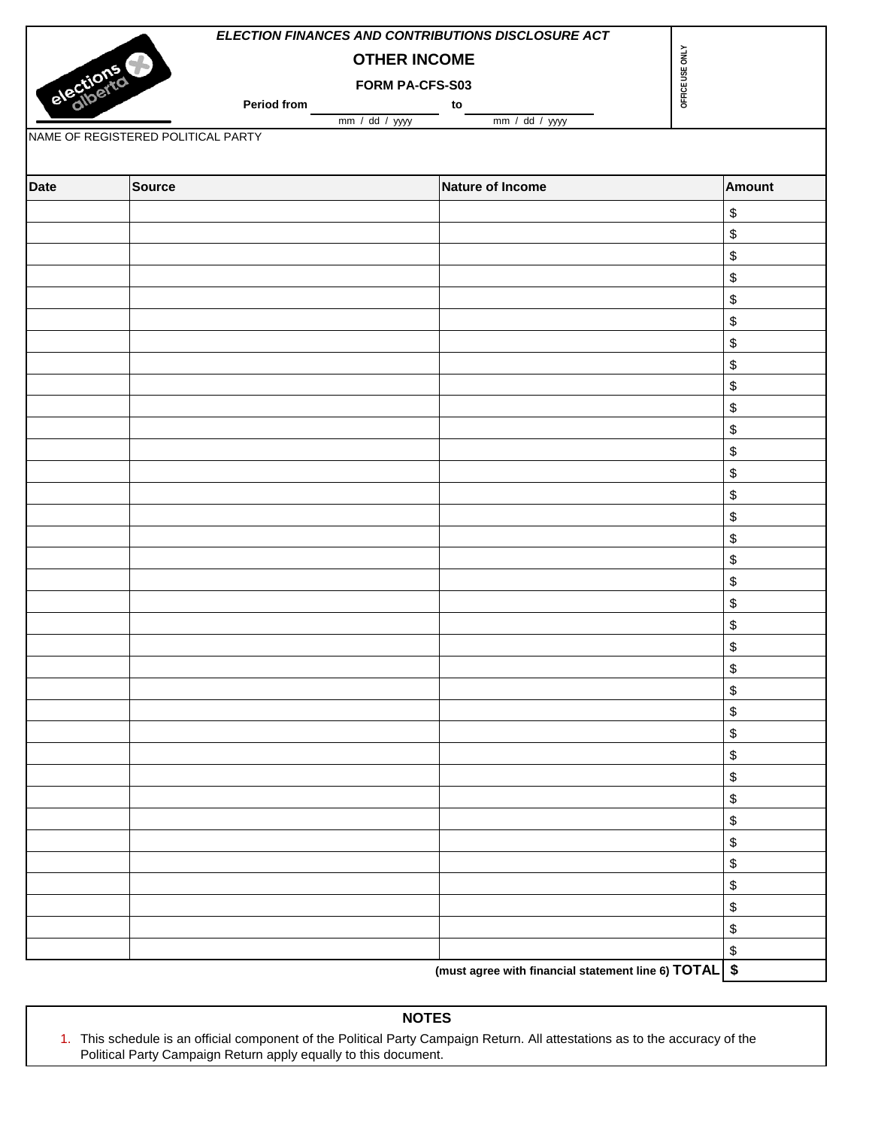|           |                                    | ELECTION FINANCES AND CONTRIBUTIONS DISCLOSURE ACT    |                 |
|-----------|------------------------------------|-------------------------------------------------------|-----------------|
|           | 5                                  | <b>OTHER INCOME</b>                                   |                 |
| elections |                                    | FORM PA-CFS-S03                                       | OFFICE USE ONLY |
|           | <b>Period from</b>                 | to<br>mm / dd / yyy<br>$mm / dd / yy$ yyy             |                 |
|           | NAME OF REGISTERED POLITICAL PARTY |                                                       |                 |
|           |                                    |                                                       |                 |
| Date      | Source                             | <b>Nature of Income</b>                               | Amount          |
|           |                                    |                                                       | \$              |
|           |                                    |                                                       | \$              |
|           |                                    |                                                       | \$              |
|           |                                    |                                                       | \$              |
|           |                                    |                                                       | \$              |
|           |                                    |                                                       | \$              |
|           |                                    |                                                       | \$              |
|           |                                    |                                                       | \$              |
|           |                                    |                                                       | \$              |
|           |                                    |                                                       | \$              |
|           |                                    |                                                       | \$              |
|           |                                    |                                                       | \$              |
|           |                                    |                                                       | \$              |
|           |                                    |                                                       | \$              |
|           |                                    |                                                       | \$              |
|           |                                    |                                                       | \$              |
|           |                                    |                                                       | \$              |
|           |                                    |                                                       | \$              |
|           |                                    |                                                       | \$              |
|           |                                    |                                                       | \$              |
|           |                                    |                                                       | \$              |
|           |                                    |                                                       | \$              |
|           |                                    |                                                       | \$              |
|           |                                    |                                                       | \$              |
|           |                                    |                                                       | \$              |
|           |                                    |                                                       | \$              |
|           |                                    |                                                       | \$              |
|           |                                    |                                                       | \$              |
|           |                                    |                                                       | \$              |
|           |                                    |                                                       | \$              |
|           |                                    |                                                       | \$              |
|           |                                    |                                                       | \$              |
|           |                                    |                                                       | \$              |
|           |                                    |                                                       | \$              |
|           |                                    |                                                       | \$              |
|           |                                    | (must agree with financial statement line 6) TOTAL \$ |                 |
|           |                                    |                                                       |                 |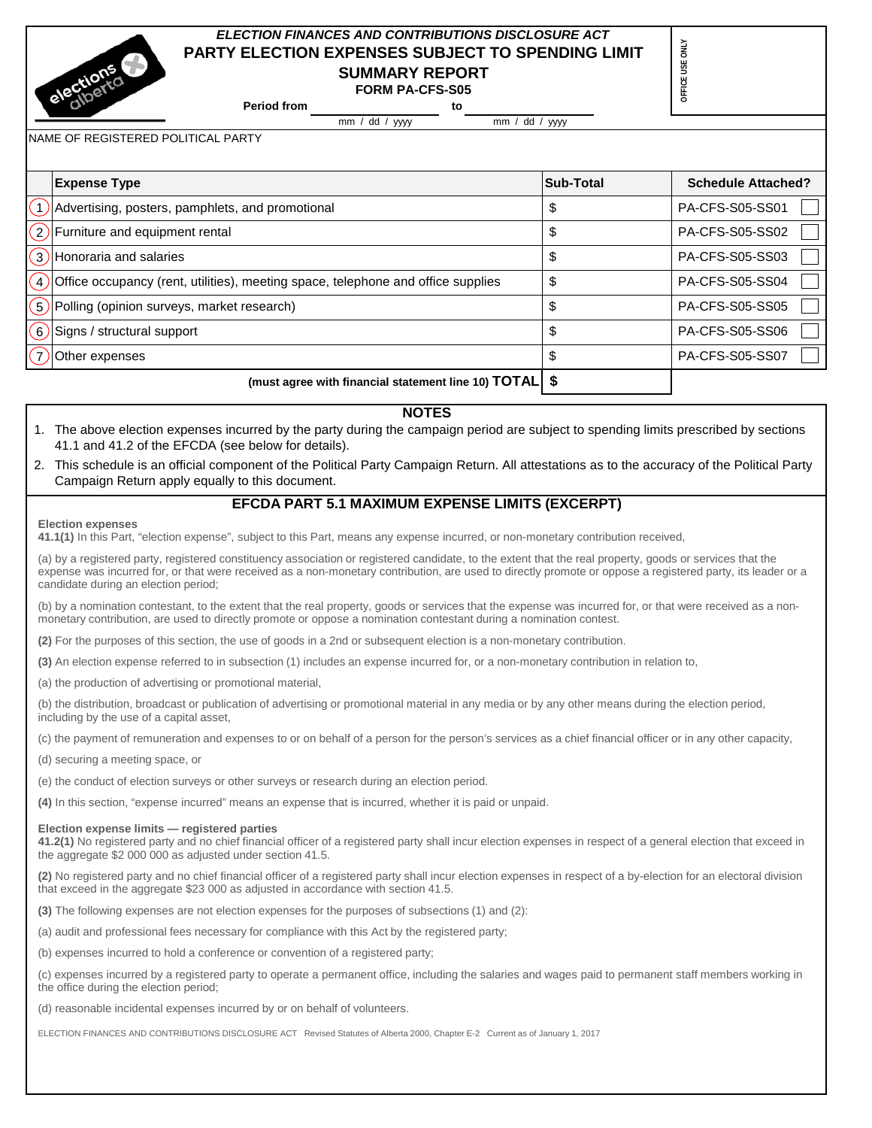# *ELECTION FINANCES AND CONTRIBUTIONS DISCLOSURE ACT* **PARTY ELECTION EXPENSES SUBJECT TO SPENDING LIMIT SUMMARY REPORT**

**Period from to FORM PA-CFS-S05**

mm / dd / yyyy mm / dd / yyyy

**OFFICE USE ONLY**

OFFICE USE ONLY

NAME OF REGISTERED POLITICAL PARTY

|                   | <b>Expense Type</b>                                                              | Sub-Total | <b>Schedule Attached?</b> |
|-------------------|----------------------------------------------------------------------------------|-----------|---------------------------|
|                   | Advertising, posters, pamphlets, and promotional                                 | D         | PA-CFS-S05-SS01           |
|                   | $(2)$ Furniture and equipment rental                                             | จ         | <b>PA-CFS-S05-SS02</b>    |
| $\mathcal{E}$     | Honoraria and salaries                                                           | ъ         | PA-CFS-S05-SS03           |
| $\left( 4\right)$ | Office occupancy (rent, utilities), meeting space, telephone and office supplies |           | PA-CFS-S05-SS04           |
| $\left(5\right)$  | Polling (opinion surveys, market research)                                       | ۰D        | <b>PA-CFS-S05-SS05</b>    |
| $\left(6\right)$  | Signs / structural support                                                       | ъ         | <b>PA-CFS-S05-SS06</b>    |
|                   | Other expenses                                                                   |           | <b>PA-CFS-S05-SS07</b>    |
|                   | (must agree with financial statement line 10) TOTAL   \$                         |           |                           |

## **NOTES**

- 1. The above election expenses incurred by the party during the campaign period are subject to spending limits prescribed by sections 41.1 and 41.2 of the EFCDA (see below for details).
- 2. This schedule is an official component of the Political Party Campaign Return. All attestations as to the accuracy of the Political Party Campaign Return apply equally to this document.

## **EFCDA PART 5.1 MAXIMUM EXPENSE LIMITS (EXCERPT)**

#### **Election expenses**

**41.1(1)** In this Part, "election expense", subject to this Part, means any expense incurred, or non-monetary contribution received,

(a) by a registered party, registered constituency association or registered candidate, to the extent that the real property, goods or services that the expense was incurred for, or that were received as a non-monetary contribution, are used to directly promote or oppose a registered party, its leader or a candidate during an election period;

(b) by a nomination contestant, to the extent that the real property, goods or services that the expense was incurred for, or that were received as a nonmonetary contribution, are used to directly promote or oppose a nomination contestant during a nomination contest.

**(2)** For the purposes of this section, the use of goods in a 2nd or subsequent election is a non-monetary contribution.

**(3)** An election expense referred to in subsection (1) includes an expense incurred for, or a non-monetary contribution in relation to,

(a) the production of advertising or promotional material,

(b) the distribution, broadcast or publication of advertising or promotional material in any media or by any other means during the election period, including by the use of a capital asset,

(c) the payment of remuneration and expenses to or on behalf of a person for the person's services as a chief financial officer or in any other capacity,

(d) securing a meeting space, or

(e) the conduct of election surveys or other surveys or research during an election period.

**(4)** In this section, "expense incurred" means an expense that is incurred, whether it is paid or unpaid.

## **Election expense limits — registered parties**

**41.2(1)** No registered party and no chief financial officer of a registered party shall incur election expenses in respect of a general election that exceed in the aggregate \$2 000 000 as adjusted under section 41.5.

**(2)** No registered party and no chief financial officer of a registered party shall incur election expenses in respect of a by-election for an electoral division that exceed in the aggregate \$23 000 as adjusted in accordance with section 41.5.

**(3)** The following expenses are not election expenses for the purposes of subsections (1) and (2):

(a) audit and professional fees necessary for compliance with this Act by the registered party;

(b) expenses incurred to hold a conference or convention of a registered party;

(c) expenses incurred by a registered party to operate a permanent office, including the salaries and wages paid to permanent staff members working in the office during the election period;

(d) reasonable incidental expenses incurred by or on behalf of volunteers.

ELECTION FINANCES AND CONTRIBUTIONS DISCLOSURE ACT Revised Statutes of Alberta 2000, Chapter E-2 Current as of January 1, 2017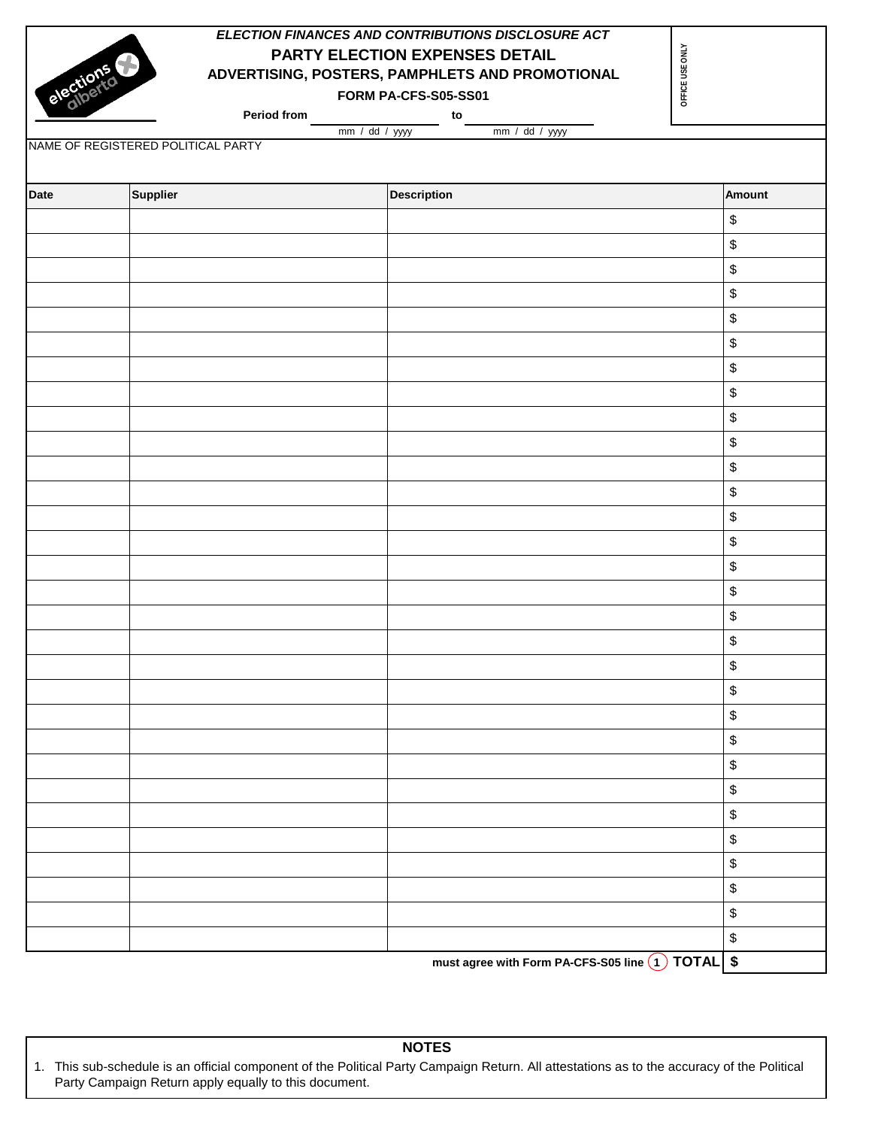|           |                                                          | ELECTION FINANCES AND CONTRIBUTIONS DISCLOSURE ACT |                                           |
|-----------|----------------------------------------------------------|----------------------------------------------------|-------------------------------------------|
| elections |                                                          | OFFICE USE ONLY<br>PARTY ELECTION EXPENSES DETAIL  |                                           |
|           |                                                          | ADVERTISING, POSTERS, PAMPHLETS AND PROMOTIONAL    |                                           |
|           |                                                          | FORM PA-CFS-S05-SS01                               |                                           |
|           | Period from                                              | to                                                 |                                           |
|           | $mm / dd / yy$ yyy<br>NAME OF REGISTERED POLITICAL PARTY | mm / dd / yyyy                                     |                                           |
|           |                                                          |                                                    |                                           |
| Date      | Supplier                                                 | <b>Description</b>                                 | <b>Amount</b>                             |
|           |                                                          |                                                    | $\, \, \raisebox{12pt}{$\scriptstyle \$}$ |
|           |                                                          |                                                    | $\,$                                      |
|           |                                                          |                                                    | $\, \, \raisebox{12pt}{$\scriptstyle \$}$ |
|           |                                                          |                                                    | $\, \, \raisebox{12pt}{$\scriptstyle \$}$ |
|           |                                                          |                                                    | $\, \, \raisebox{12pt}{$\scriptstyle \$}$ |
|           |                                                          |                                                    | $\, \, \raisebox{12pt}{$\scriptstyle \$}$ |
|           |                                                          |                                                    | $\,$                                      |
|           |                                                          |                                                    | $\mathbb{S}$                              |
|           |                                                          |                                                    | $\, \, \raisebox{12pt}{$\scriptstyle \$}$ |
|           |                                                          |                                                    | $\, \, \raisebox{12pt}{$\scriptstyle \$}$ |
|           |                                                          |                                                    | $\, \, \raisebox{12pt}{$\scriptstyle \$}$ |
|           |                                                          |                                                    | $\, \, \raisebox{12pt}{$\scriptstyle \$}$ |
|           |                                                          |                                                    | $\, \, \raisebox{12pt}{$\scriptstyle \$}$ |
|           |                                                          |                                                    | $\, \, \raisebox{12pt}{$\scriptstyle \$}$ |
|           |                                                          |                                                    | $\, \, \raisebox{12pt}{$\scriptstyle \$}$ |
|           |                                                          |                                                    | $\, \, \raisebox{12pt}{$\scriptstyle \$}$ |
|           |                                                          |                                                    | $\, \, \raisebox{12pt}{$\scriptstyle \$}$ |
|           |                                                          |                                                    | $\, \, \raisebox{12pt}{$\scriptstyle \$}$ |
|           |                                                          |                                                    | \$                                        |
|           |                                                          |                                                    | \$                                        |
|           |                                                          |                                                    | $\, \, \raisebox{12pt}{$\scriptstyle \$}$ |
|           |                                                          |                                                    | $\, \, \raisebox{12pt}{$\scriptstyle \$}$ |
|           |                                                          |                                                    | $\, \, \raisebox{12pt}{$\scriptstyle \$}$ |
|           |                                                          |                                                    | $\, \, \raisebox{12pt}{$\scriptstyle \$}$ |
|           |                                                          |                                                    | $\, \, \raisebox{12pt}{$\scriptstyle \$}$ |
|           |                                                          |                                                    | $\, \, \raisebox{12pt}{$\scriptstyle \$}$ |
|           |                                                          |                                                    | $\, \, \raisebox{12pt}{$\scriptstyle \$}$ |
|           |                                                          |                                                    | $\, \, \raisebox{12pt}{$\scriptstyle \$}$ |
|           |                                                          |                                                    | $\, \, \raisebox{12pt}{$\scriptstyle \$}$ |
|           |                                                          |                                                    | \$                                        |

must agree with Form PA-CFS-S05 line (1) TOTAL \$

**NOTES**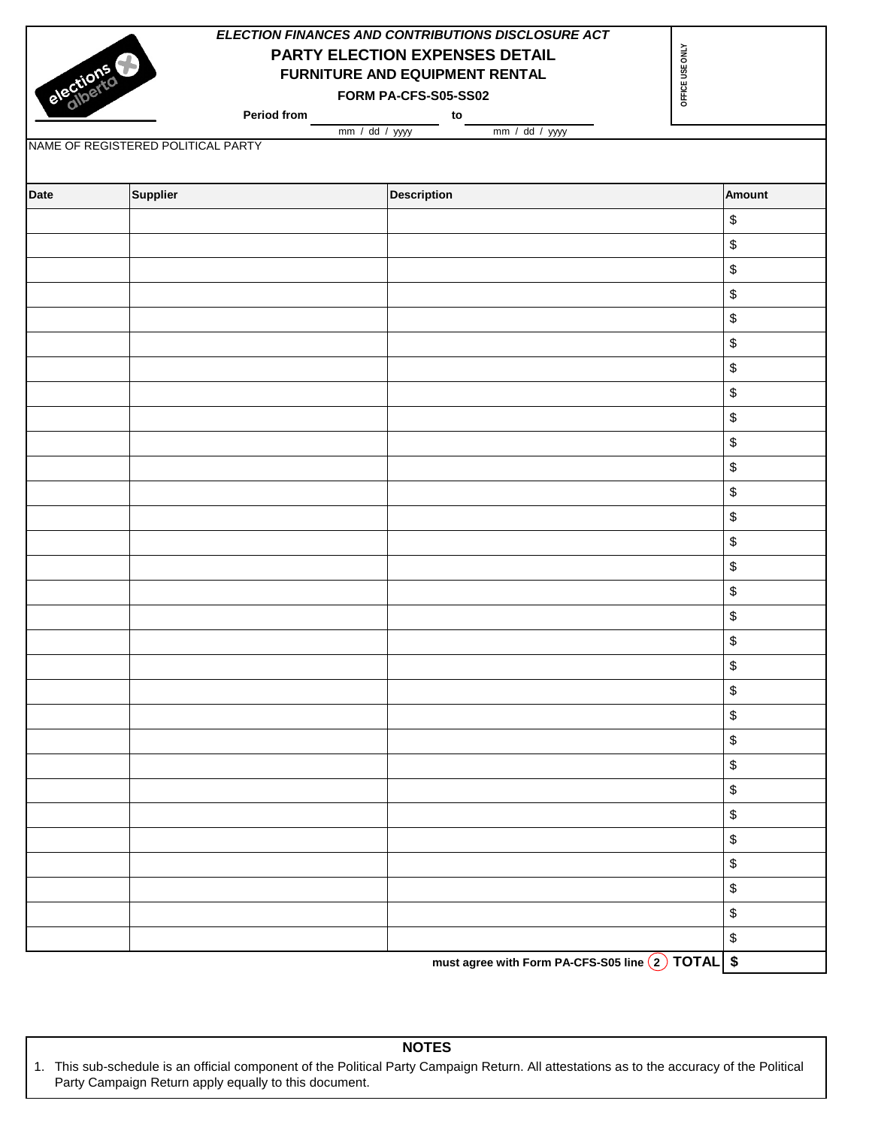|           |                                    | ELECTION FINANCES AND CONTRIBUTIONS DISCLOSURE ACT |                                           |
|-----------|------------------------------------|----------------------------------------------------|-------------------------------------------|
|           |                                    | PARTY ELECTION EXPENSES DETAIL                     | OFFICE USE ONLY                           |
|           |                                    | FURNITURE AND EQUIPMENT RENTAL                     |                                           |
| elections |                                    | FORM PA-CFS-S05-SS02                               |                                           |
|           | Period from                        | to                                                 |                                           |
|           | mm / dd / yyy                      | mm / dd / yyyy                                     |                                           |
|           | NAME OF REGISTERED POLITICAL PARTY |                                                    |                                           |
|           |                                    |                                                    |                                           |
| Date      | Supplier                           | <b>Description</b>                                 | Amount                                    |
|           |                                    |                                                    | \$                                        |
|           |                                    |                                                    | \$                                        |
|           |                                    |                                                    | $\, \, \raisebox{12pt}{$\scriptstyle \$}$ |
|           |                                    |                                                    | \$                                        |
|           |                                    |                                                    | \$                                        |
|           |                                    |                                                    | \$                                        |
|           |                                    |                                                    | $\, \, \raisebox{12pt}{$\scriptstyle \$}$ |
|           |                                    |                                                    | \$                                        |
|           |                                    |                                                    | \$                                        |
|           |                                    |                                                    | \$                                        |
|           |                                    |                                                    | \$                                        |
|           |                                    |                                                    | \$                                        |
|           |                                    |                                                    | $\, \, \raisebox{12pt}{$\scriptstyle \$}$ |
|           |                                    |                                                    | $\, \, \raisebox{12pt}{$\scriptstyle \$}$ |
|           |                                    |                                                    | \$                                        |
|           |                                    |                                                    | $\,$                                      |
|           |                                    |                                                    | \$                                        |
|           |                                    |                                                    | $\, \, \raisebox{12pt}{$\scriptstyle \$}$ |
|           |                                    |                                                    | \$                                        |
|           |                                    |                                                    | $\mathbb{S}$                              |
|           |                                    |                                                    | \$                                        |
|           |                                    |                                                    | \$                                        |
|           |                                    |                                                    | \$                                        |
|           |                                    |                                                    | $\mathbb{S}$                              |
|           |                                    |                                                    | \$                                        |
|           |                                    |                                                    | \$                                        |
|           |                                    |                                                    | \$                                        |
|           |                                    |                                                    | \$                                        |
|           |                                    |                                                    | \$                                        |
|           |                                    |                                                    | \$                                        |

**must agree with Form PA-CFS-S05 line 2 TOTAL \$**

**NOTES**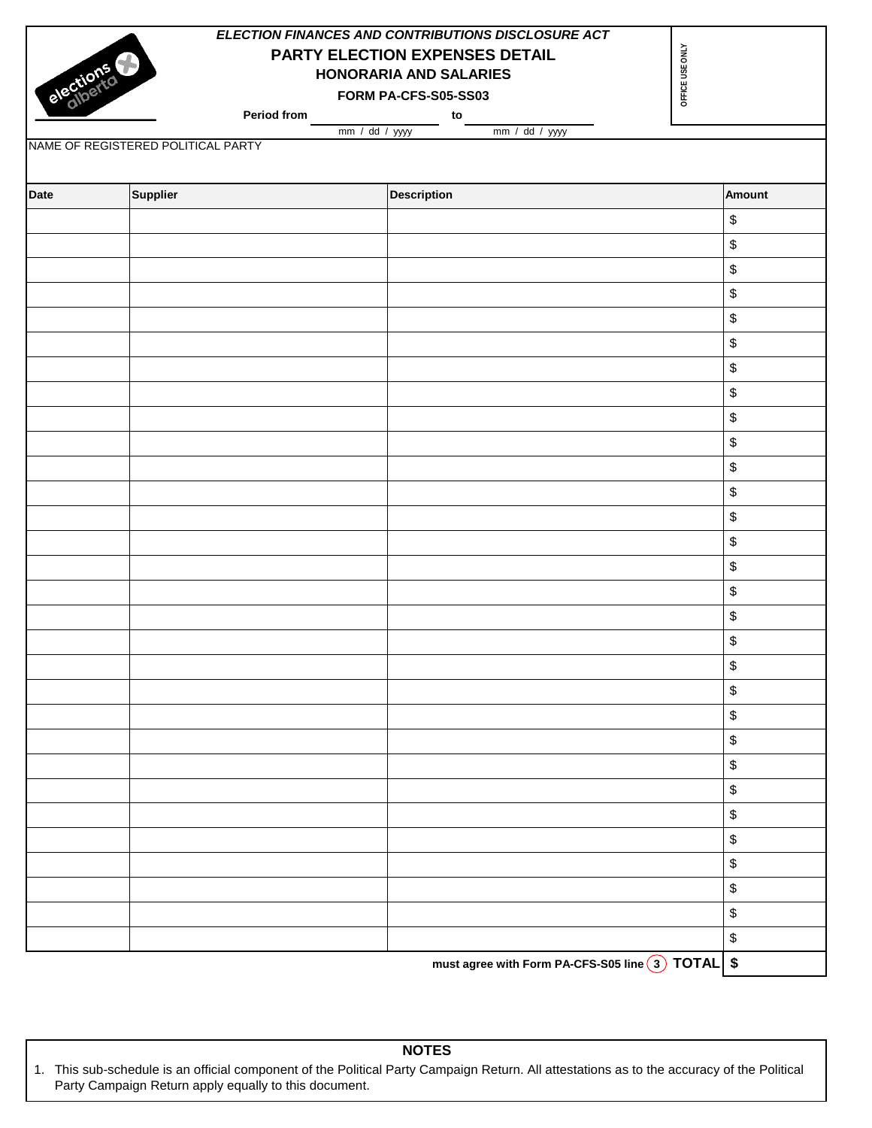|             |                                    | ELECTION FINANCES AND CONTRIBUTIONS DISCLOSURE ACT |                                           |
|-------------|------------------------------------|----------------------------------------------------|-------------------------------------------|
|             |                                    | PARTY ELECTION EXPENSES DETAIL                     | OFFICE USE ONLY                           |
|             |                                    | HONORARIA AND SALARIES                             |                                           |
| elections   |                                    | FORM PA-CFS-S05-SS03                               |                                           |
|             | Period from<br>mm / dd / yyyy      | to<br>mm / dd / yyyy                               |                                           |
|             | NAME OF REGISTERED POLITICAL PARTY |                                                    |                                           |
|             |                                    |                                                    |                                           |
| <b>Date</b> | Supplier                           | <b>Description</b>                                 | <b>Amount</b>                             |
|             |                                    |                                                    | \$                                        |
|             |                                    |                                                    | $\,$                                      |
|             |                                    |                                                    | $\,$                                      |
|             |                                    |                                                    | \$                                        |
|             |                                    |                                                    | \$                                        |
|             |                                    |                                                    | \$                                        |
|             |                                    |                                                    | $\,$                                      |
|             |                                    |                                                    | $\, \, \raisebox{12pt}{$\scriptstyle \$}$ |
|             |                                    |                                                    | \$                                        |
|             |                                    |                                                    | \$                                        |
|             |                                    |                                                    | \$                                        |
|             |                                    |                                                    | $\,$                                      |
|             |                                    |                                                    | $\, \, \raisebox{12pt}{$\scriptstyle \$}$ |
|             |                                    |                                                    | \$                                        |
|             |                                    |                                                    | \$                                        |
|             |                                    |                                                    | $\, \, \raisebox{12pt}{$\scriptstyle \$}$ |
|             |                                    |                                                    | $\, \, \raisebox{12pt}{$\scriptstyle \$}$ |
|             |                                    |                                                    | $\, \, \raisebox{12pt}{$\scriptstyle \$}$ |
|             |                                    |                                                    | \$                                        |
|             |                                    |                                                    | \$                                        |
|             |                                    |                                                    | \$                                        |
|             |                                    |                                                    | \$                                        |
|             |                                    |                                                    | $\,$                                      |
|             |                                    |                                                    | \$                                        |
|             |                                    |                                                    | \$                                        |
|             |                                    |                                                    | $\,$                                      |
|             |                                    |                                                    | \$                                        |
|             |                                    |                                                    | $\, \, \raisebox{12pt}{$\scriptstyle \$}$ |
|             |                                    |                                                    | \$                                        |
|             |                                    |                                                    | \$                                        |
|             |                                    | must agree with Form PA-CFS-S05 line 3 TOTAL       | $\pmb{\$}$                                |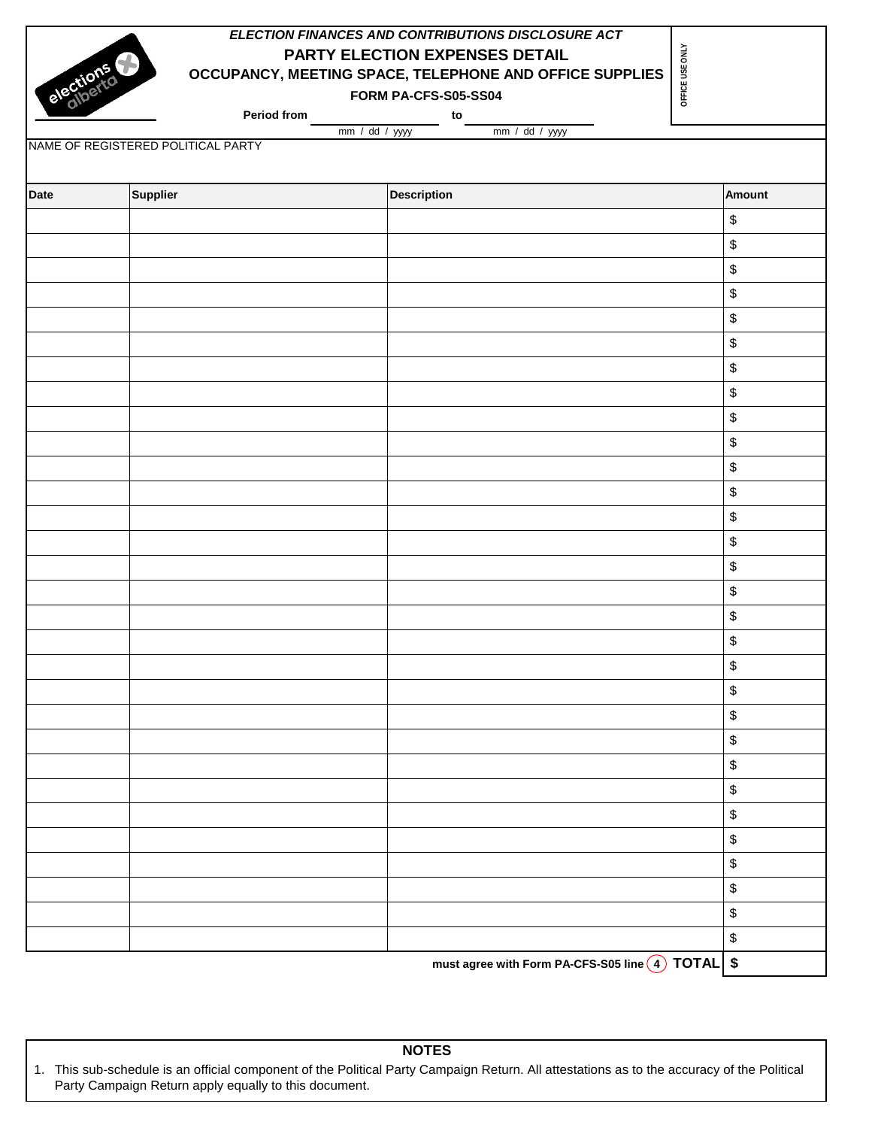| elections   |                                    | ELECTION FINANCES AND CONTRIBUTIONS DISCLOSURE ACT<br>PARTY ELECTION EXPENSES DETAIL<br>OCCUPANCY, MEETING SPACE, TELEPHONE AND OFFICE SUPPLIES<br>FORM PA-CFS-S05-SS04 | OFFICE USE ONLY                           |
|-------------|------------------------------------|-------------------------------------------------------------------------------------------------------------------------------------------------------------------------|-------------------------------------------|
|             | Period from                        | to<br>mm / dd / yyyy<br>mm / dd / yyyy                                                                                                                                  |                                           |
|             | NAME OF REGISTERED POLITICAL PARTY |                                                                                                                                                                         |                                           |
|             |                                    |                                                                                                                                                                         |                                           |
| <b>Date</b> | Supplier                           | <b>Description</b>                                                                                                                                                      | <b>Amount</b>                             |
|             |                                    |                                                                                                                                                                         | $\, \, \$$                                |
|             |                                    |                                                                                                                                                                         | $\, \, \raisebox{12pt}{$\scriptstyle \$}$ |
|             |                                    |                                                                                                                                                                         | $\, \, \raisebox{12pt}{$\scriptstyle \$}$ |
|             |                                    |                                                                                                                                                                         | $\, \, \raisebox{12pt}{$\scriptstyle \$}$ |
|             |                                    |                                                                                                                                                                         | \$                                        |
|             |                                    |                                                                                                                                                                         | \$                                        |
|             |                                    |                                                                                                                                                                         | $\,$                                      |
|             |                                    |                                                                                                                                                                         | \$                                        |
|             |                                    |                                                                                                                                                                         | \$                                        |
|             |                                    |                                                                                                                                                                         | \$                                        |
|             |                                    |                                                                                                                                                                         | \$                                        |
|             |                                    |                                                                                                                                                                         | \$                                        |
|             |                                    |                                                                                                                                                                         | $\, \, \raisebox{12pt}{$\scriptstyle \$}$ |
|             |                                    |                                                                                                                                                                         | \$                                        |
|             |                                    |                                                                                                                                                                         | $\, \, \raisebox{12pt}{$\scriptstyle \$}$ |
|             |                                    |                                                                                                                                                                         | \$                                        |
|             |                                    |                                                                                                                                                                         | $\,$                                      |
|             |                                    |                                                                                                                                                                         | $\,$                                      |
|             |                                    |                                                                                                                                                                         | \$                                        |
|             |                                    |                                                                                                                                                                         | $\, \, \raisebox{12pt}{$\scriptstyle \$}$ |
|             |                                    |                                                                                                                                                                         | $\, \, \raisebox{12pt}{$\scriptstyle \$}$ |
|             |                                    |                                                                                                                                                                         | $\, \, \raisebox{12pt}{$\scriptstyle \$}$ |
|             |                                    |                                                                                                                                                                         | $\, \, \raisebox{12pt}{$\scriptstyle \$}$ |
|             |                                    |                                                                                                                                                                         | $\, \, \raisebox{12pt}{$\scriptstyle \$}$ |
|             |                                    |                                                                                                                                                                         | $\, \, \raisebox{12pt}{$\scriptstyle \$}$ |
|             |                                    |                                                                                                                                                                         | $\, \, \raisebox{12pt}{$\scriptstyle \$}$ |
|             |                                    |                                                                                                                                                                         | $\, \, \raisebox{12pt}{$\scriptstyle \$}$ |
|             |                                    |                                                                                                                                                                         | \$                                        |
|             |                                    |                                                                                                                                                                         | $\, \, \raisebox{12pt}{$\scriptstyle \$}$ |
|             |                                    |                                                                                                                                                                         | $\, \, \raisebox{12pt}{$\scriptstyle \$}$ |
|             |                                    | must agree with Form PA-CFS-S05 line 4 TOTAL \$                                                                                                                         |                                           |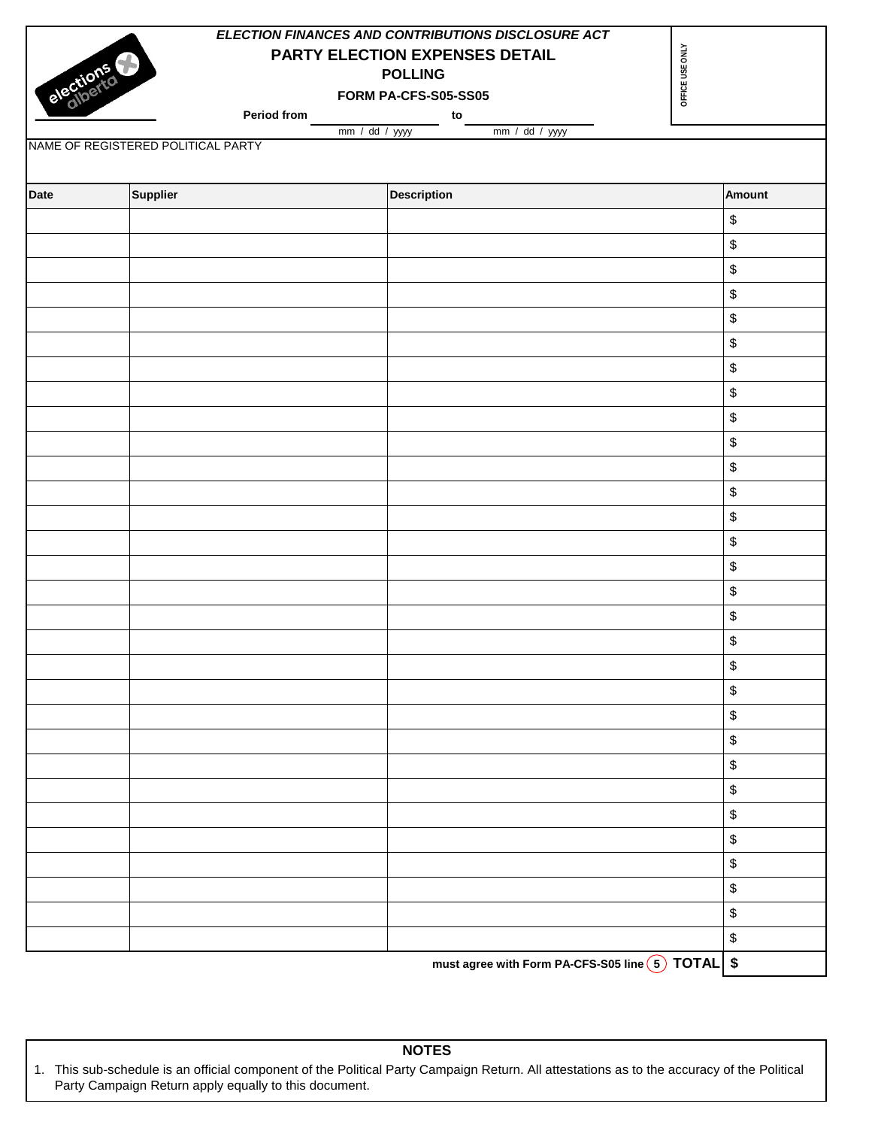|             |                                    | ELECTION FINANCES AND CONTRIBUTIONS DISCLOSURE ACT |                                           |
|-------------|------------------------------------|----------------------------------------------------|-------------------------------------------|
| elections   |                                    | PARTY ELECTION EXPENSES DETAIL                     | OFFICE USE ONLY                           |
|             |                                    | <b>POLLING</b>                                     |                                           |
|             |                                    | FORM PA-CFS-S05-SS05                               |                                           |
|             | Period from                        | to<br>mm / dd / yyy<br>mm / dd / yyyy              |                                           |
|             | NAME OF REGISTERED POLITICAL PARTY |                                                    |                                           |
|             |                                    |                                                    |                                           |
| <b>Date</b> | Supplier                           | <b>Description</b>                                 | <b>Amount</b>                             |
|             |                                    |                                                    | $\, \, \raisebox{12pt}{$\scriptstyle \$}$ |
|             |                                    |                                                    | $\, \, \raisebox{12pt}{$\scriptstyle \$}$ |
|             |                                    |                                                    | $\, \, \raisebox{12pt}{$\scriptstyle \$}$ |
|             |                                    |                                                    | $\boldsymbol{\$}$                         |
|             |                                    |                                                    | \$                                        |
|             |                                    |                                                    | \$                                        |
|             |                                    |                                                    | $\, \mathbb{S} \,$                        |
|             |                                    |                                                    | $\, \, \raisebox{12pt}{$\scriptstyle \$}$ |
|             |                                    |                                                    | $\, \, \mathbb{S} \,$                     |
|             |                                    |                                                    | $\mathbb{S}$                              |
|             |                                    |                                                    | \$                                        |
|             |                                    |                                                    | $\, \, \raisebox{12pt}{$\scriptstyle \$}$ |
|             |                                    |                                                    | \$                                        |
|             |                                    |                                                    | \$                                        |
|             |                                    |                                                    | $\, \, \raisebox{12pt}{$\scriptstyle \$}$ |
|             |                                    |                                                    | $\,$                                      |
|             |                                    |                                                    | $\, \, \raisebox{12pt}{$\scriptstyle \$}$ |
|             |                                    |                                                    | $\mathbb{S}$                              |
|             |                                    |                                                    | \$                                        |
|             |                                    |                                                    | $\,$                                      |
|             |                                    |                                                    | \$                                        |
|             |                                    |                                                    | \$                                        |
|             |                                    |                                                    | \$                                        |
|             |                                    |                                                    | $\,$                                      |
|             |                                    |                                                    | \$                                        |
|             |                                    |                                                    | \$                                        |
|             |                                    |                                                    | \$                                        |
|             |                                    |                                                    | $\, \, \raisebox{12pt}{$\scriptstyle \$}$ |
|             |                                    |                                                    | $\,$                                      |
|             |                                    |                                                    | $\, \, \raisebox{12pt}{$\scriptstyle \$}$ |
|             |                                    | must agree with Form PA-CFS-S05 line 5 TOTAL \$    |                                           |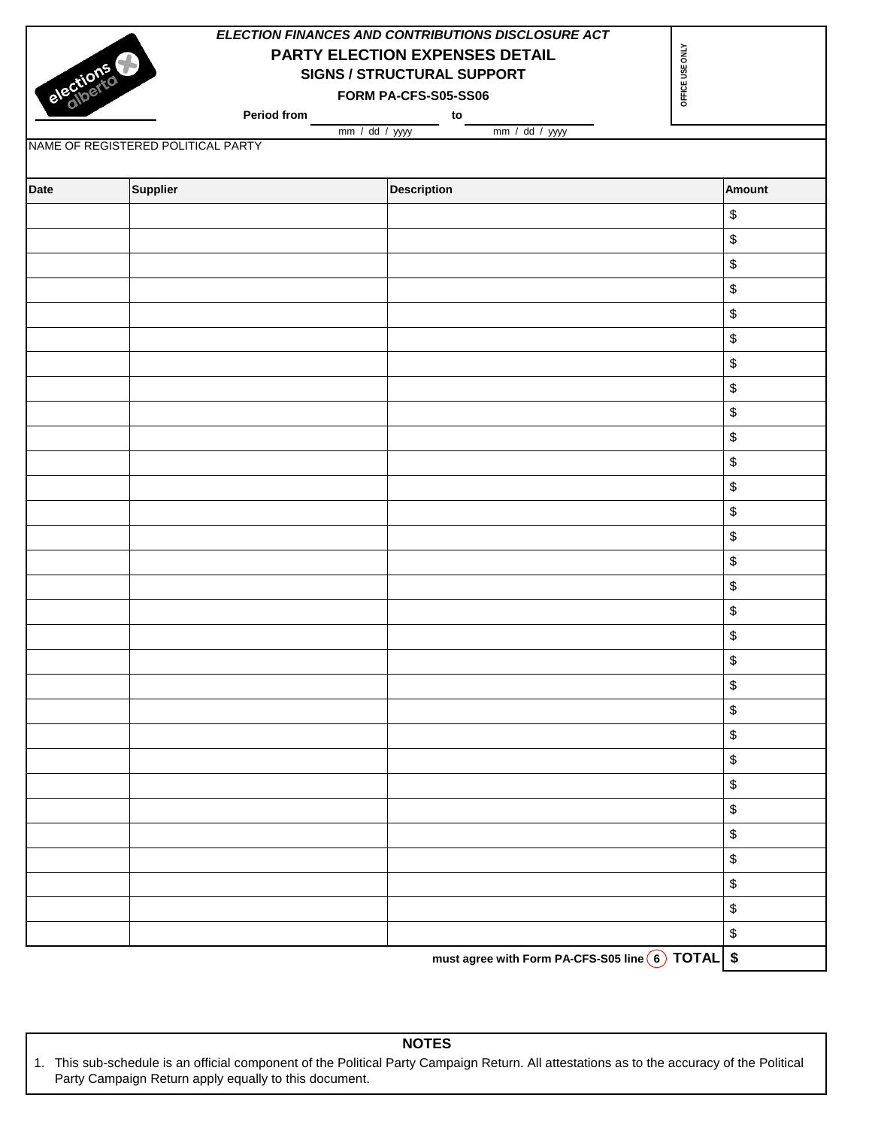|             |                                    | ELECTION FINANCES AND CONTRIBUTIONS DISCLOSURE ACT |                                           |
|-------------|------------------------------------|----------------------------------------------------|-------------------------------------------|
|             |                                    | PARTY ELECTION EXPENSES DETAIL                     | OFFICE USE ONLY                           |
|             |                                    | <b>SIGNS / STRUCTURAL SUPPORT</b>                  |                                           |
| elections   |                                    | FORM PA-CFS-S05-SS06                               |                                           |
|             | Period from                        | to                                                 |                                           |
|             | NAME OF REGISTERED POLITICAL PARTY | mm / dd / yyyy<br>mm / dd / yyy                    |                                           |
|             |                                    |                                                    |                                           |
| <b>Date</b> | <b>Supplier</b>                    | <b>Description</b>                                 | <b>Amount</b>                             |
|             |                                    |                                                    | $\, \, \raisebox{12pt}{$\scriptstyle \$}$ |
|             |                                    |                                                    | \$                                        |
|             |                                    |                                                    | $\, \, \raisebox{12pt}{$\scriptstyle \$}$ |
|             |                                    |                                                    | \$                                        |
|             |                                    |                                                    | $\, \, \raisebox{12pt}{$\scriptstyle \$}$ |
|             |                                    |                                                    | \$                                        |
|             |                                    |                                                    | \$                                        |
|             |                                    |                                                    | $\, \, \raisebox{12pt}{$\scriptstyle \$}$ |
|             |                                    |                                                    | $\, \, \raisebox{12pt}{$\scriptstyle \$}$ |
|             |                                    |                                                    | $\, \, \raisebox{12pt}{$\scriptstyle \$}$ |
|             |                                    |                                                    | \$                                        |
|             |                                    |                                                    | $\, \, \raisebox{12pt}{$\scriptstyle \$}$ |
|             |                                    |                                                    | \$                                        |
|             |                                    |                                                    | $\,$                                      |
|             |                                    |                                                    | $\, \, \raisebox{12pt}{$\scriptstyle \$}$ |
|             |                                    |                                                    | \$                                        |
|             |                                    |                                                    | $\, \, \raisebox{12pt}{$\scriptstyle \$}$ |
|             |                                    |                                                    | $\, \, \raisebox{12pt}{$\scriptstyle \$}$ |
|             |                                    |                                                    | $\$\$                                     |
|             |                                    |                                                    | $\, \, \raisebox{12pt}{$\scriptstyle \$}$ |
|             |                                    |                                                    | $\mathbb{S}$                              |
|             |                                    |                                                    | \$                                        |
|             |                                    |                                                    | $\,$                                      |
|             |                                    |                                                    | $\mathbb{S}$                              |
|             |                                    |                                                    | $\mathbb{S}$                              |
|             |                                    |                                                    | \$                                        |
|             |                                    |                                                    | $\, \, \raisebox{12pt}{$\scriptstyle \$}$ |
|             |                                    |                                                    | $\, \, \raisebox{12pt}{$\scriptstyle \$}$ |
|             |                                    |                                                    | $\, \, \raisebox{12pt}{$\scriptstyle \$}$ |
|             |                                    |                                                    | \$                                        |

**must agree with Form PA-CFS-S05 line 6 TOTAL \$**

**NOTES**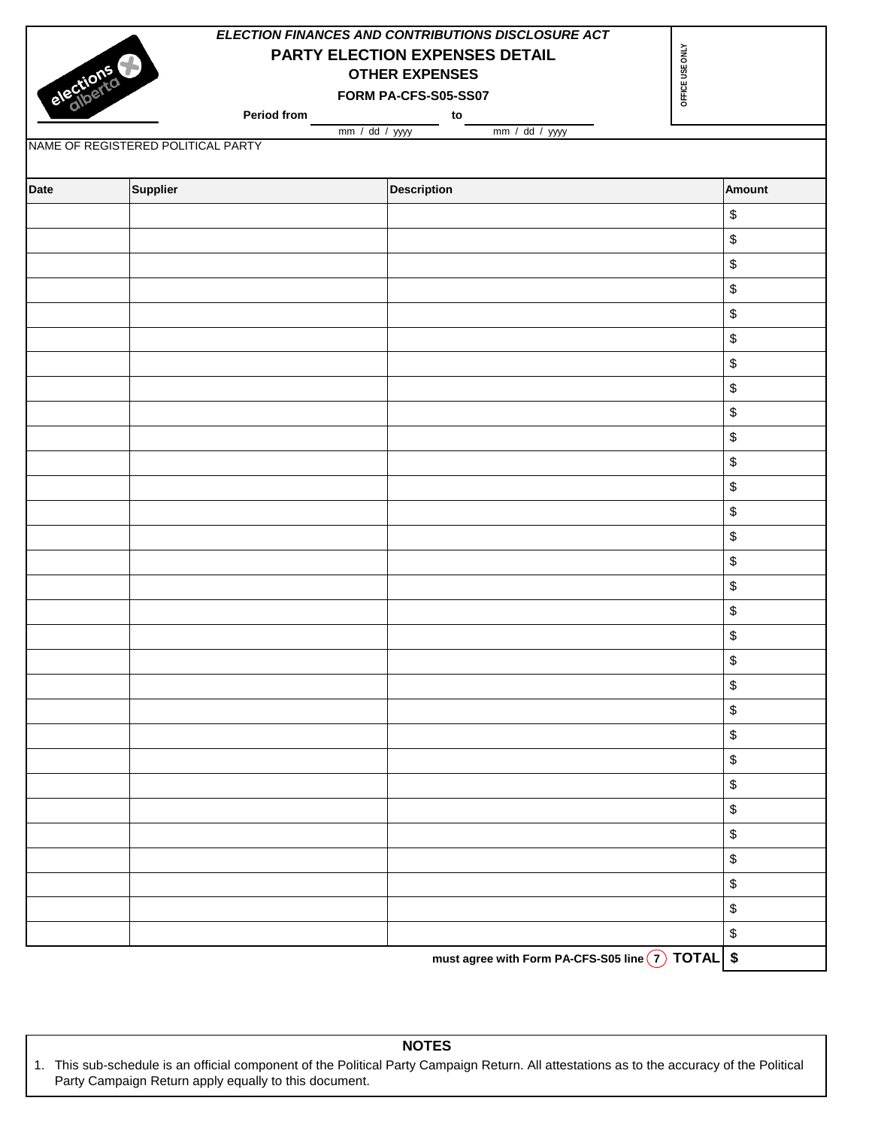| ELECTION FINANCES AND CONTRIBUTIONS DISCLOSURE ACT |                                                      |                                |                                           |        |  |  |  |  |
|----------------------------------------------------|------------------------------------------------------|--------------------------------|-------------------------------------------|--------|--|--|--|--|
|                                                    |                                                      | PARTY ELECTION EXPENSES DETAIL |                                           |        |  |  |  |  |
|                                                    |                                                      | <b>OTHER EXPENSES</b>          |                                           |        |  |  |  |  |
| elections                                          |                                                      | FORM PA-CFS-S05-SS07           | OFFICE USE ONLY                           |        |  |  |  |  |
|                                                    | Period from                                          | to                             |                                           |        |  |  |  |  |
|                                                    | mm / dd / yyyy<br>NAME OF REGISTERED POLITICAL PARTY | mm / dd / yyyy                 |                                           |        |  |  |  |  |
|                                                    |                                                      |                                |                                           |        |  |  |  |  |
| <b>Date</b>                                        | Supplier                                             | <b>Description</b>             |                                           | Amount |  |  |  |  |
|                                                    |                                                      |                                | \$                                        |        |  |  |  |  |
|                                                    |                                                      |                                | \$                                        |        |  |  |  |  |
|                                                    |                                                      |                                | \$                                        |        |  |  |  |  |
|                                                    |                                                      |                                | \$                                        |        |  |  |  |  |
|                                                    |                                                      |                                | \$                                        |        |  |  |  |  |
|                                                    |                                                      |                                | \$                                        |        |  |  |  |  |
|                                                    |                                                      |                                | \$                                        |        |  |  |  |  |
|                                                    |                                                      |                                | \$                                        |        |  |  |  |  |
|                                                    |                                                      |                                | \$                                        |        |  |  |  |  |
|                                                    |                                                      |                                | \$                                        |        |  |  |  |  |
|                                                    |                                                      |                                | \$                                        |        |  |  |  |  |
|                                                    |                                                      |                                | \$                                        |        |  |  |  |  |
|                                                    |                                                      |                                | \$                                        |        |  |  |  |  |
|                                                    |                                                      |                                | \$                                        |        |  |  |  |  |
|                                                    |                                                      |                                | \$                                        |        |  |  |  |  |
|                                                    |                                                      |                                | \$                                        |        |  |  |  |  |
|                                                    |                                                      |                                | \$                                        |        |  |  |  |  |
|                                                    |                                                      |                                | \$                                        |        |  |  |  |  |
|                                                    |                                                      |                                | \$                                        |        |  |  |  |  |
|                                                    |                                                      |                                | \$                                        |        |  |  |  |  |
|                                                    |                                                      |                                | \$                                        |        |  |  |  |  |
|                                                    |                                                      |                                | \$                                        |        |  |  |  |  |
|                                                    |                                                      |                                | \$                                        |        |  |  |  |  |
|                                                    |                                                      |                                | \$                                        |        |  |  |  |  |
|                                                    |                                                      |                                | $\, \, \raisebox{12pt}{$\scriptstyle \$}$ |        |  |  |  |  |
|                                                    |                                                      |                                | \$                                        |        |  |  |  |  |
|                                                    |                                                      |                                | \$                                        |        |  |  |  |  |
|                                                    |                                                      |                                | \$                                        |        |  |  |  |  |
|                                                    |                                                      |                                | \$                                        |        |  |  |  |  |
|                                                    |                                                      |                                | \$                                        |        |  |  |  |  |

**must agree with Form PA-CFS-S05 line 7 TOTAL \$**

**NOTES**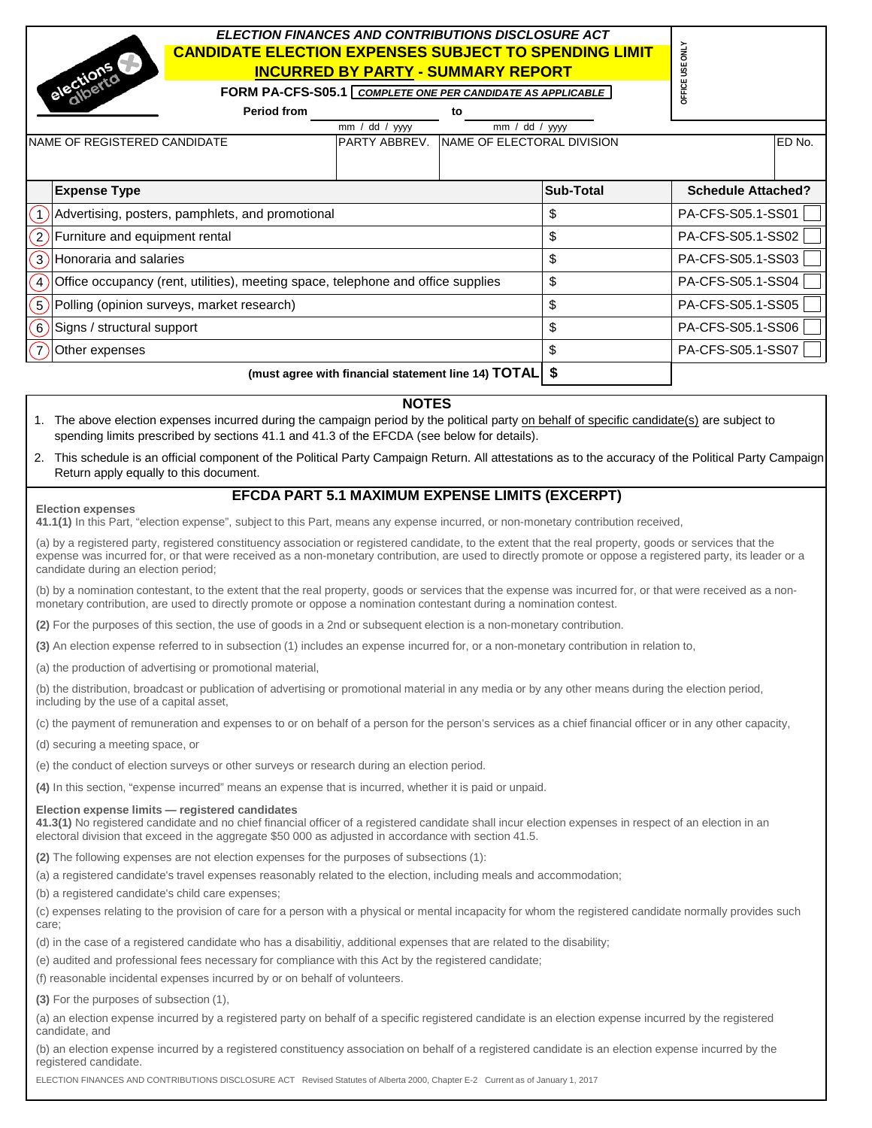# *ELECTION FINANCES AND CONTRIBUTIONS DISCLOSURE ACT* **CANDIDATE ELECTION EXPENSES SUBJECT TO SPENDING LIMIT INCURRED BY PARTY - SUMMARY REPORT**

|                                                           | <b>CANDIDATE ELECTION EXPENSES SUBJECT TO SPENDING LIMIT</b><br>elections<br><b>INCURRED BY PARTY - SUMMARY REPORT</b> |                                                     |                            |                  |                           |  |  |  |  |  |
|-----------------------------------------------------------|------------------------------------------------------------------------------------------------------------------------|-----------------------------------------------------|----------------------------|------------------|---------------------------|--|--|--|--|--|
|                                                           | FORM PA-CFS-S05.1 COMPLETE ONE PER CANDIDATE AS APPLICABLE                                                             |                                                     |                            |                  | DFFIC                     |  |  |  |  |  |
|                                                           | <b>Period from</b><br>to                                                                                               |                                                     |                            |                  |                           |  |  |  |  |  |
|                                                           |                                                                                                                        | dd / yyyy<br>mm/                                    | mm/                        | dd / yyyy        |                           |  |  |  |  |  |
| NAME OF REGISTERED CANDIDATE                              |                                                                                                                        | PARTY ABBREV.                                       | NAME OF ELECTORAL DIVISION |                  | ED No.                    |  |  |  |  |  |
| <b>Expense Type</b>                                       |                                                                                                                        |                                                     |                            | <b>Sub-Total</b> | <b>Schedule Attached?</b> |  |  |  |  |  |
|                                                           |                                                                                                                        |                                                     |                            |                  |                           |  |  |  |  |  |
|                                                           | Advertising, posters, pamphlets, and promotional                                                                       |                                                     |                            | \$               | PA-CFS-S05.1-SS01         |  |  |  |  |  |
| $\overline{\mathbf{c}}$<br>Furniture and equipment rental |                                                                                                                        |                                                     |                            | \$               | PA-CFS-S05.1-SS02         |  |  |  |  |  |
| 3 <sup>2</sup><br>Honoraria and salaries                  |                                                                                                                        |                                                     |                            | \$               | PA-CFS-S05.1-SS03         |  |  |  |  |  |
| $\overline{4}$                                            | Office occupancy (rent, utilities), meeting space, telephone and office supplies                                       |                                                     |                            | \$               | PA-CFS-S05.1-SS04         |  |  |  |  |  |
| 5 <sup>2</sup>                                            | Polling (opinion surveys, market research)                                                                             |                                                     |                            | \$               | PA-CFS-S05.1-SS05         |  |  |  |  |  |
| 6<br>Signs / structural support                           |                                                                                                                        | \$                                                  | PA-CFS-S05.1-SS06          |                  |                           |  |  |  |  |  |
| Other expenses                                            |                                                                                                                        | \$                                                  | PA-CFS-S05.1-SS07          |                  |                           |  |  |  |  |  |
|                                                           |                                                                                                                        | (must agree with financial statement line 14) TOTAL |                            | \$               |                           |  |  |  |  |  |

# **NOTES**

- 1. The above election expenses incurred during the campaign period by the political party <u>on behalf of specific candidate(s)</u> are subject to spending limits prescribed by sections 41.1 and 41.3 of the EFCDA (see below for details).
- 2. This schedule is an official component of the Political Party Campaign Return. All attestations as to the accuracy of the Political Party Campaign Return apply equally to this document.

# **EFCDA PART 5.1 MAXIMUM EXPENSE LIMITS (EXCERPT)**

#### **Election expenses**

**41.1(1)** In this Part, "election expense", subject to this Part, means any expense incurred, or non-monetary contribution received,

(a) by a registered party, registered constituency association or registered candidate, to the extent that the real property, goods or services that the expense was incurred for, or that were received as a non-monetary contribution, are used to directly promote or oppose a registered party, its leader or a candidate during an election period;

(b) by a nomination contestant, to the extent that the real property, goods or services that the expense was incurred for, or that were received as a nonmonetary contribution, are used to directly promote or oppose a nomination contestant during a nomination contest.

**(2)** For the purposes of this section, the use of goods in a 2nd or subsequent election is a non-monetary contribution.

**(3)** An election expense referred to in subsection (1) includes an expense incurred for, or a non-monetary contribution in relation to,

(a) the production of advertising or promotional material,

(b) the distribution, broadcast or publication of advertising or promotional material in any media or by any other means during the election period, including by the use of a capital asset,

(c) the payment of remuneration and expenses to or on behalf of a person for the person's services as a chief financial officer or in any other capacity,

(d) securing a meeting space, or

(e) the conduct of election surveys or other surveys or research during an election period.

**(4)** In this section, "expense incurred" means an expense that is incurred, whether it is paid or unpaid.

### **Election expense limits — registered candidates**

**41.3(1)** No registered candidate and no chief financial officer of a registered candidate shall incur election expenses in respect of an election in an electoral division that exceed in the aggregate \$50 000 as adjusted in accordance with section 41.5.

**(2)** The following expenses are not election expenses for the purposes of subsections (1):

(a) a registered candidate's travel expenses reasonably related to the election, including meals and accommodation;

(b) a registered candidate's child care expenses;

(c) expenses relating to the provision of care for a person with a physical or mental incapacity for whom the registered candidate normally provides such care;

(d) in the case of a registered candidate who has a disabilitiy, additional expenses that are related to the disability;

(e) audited and professional fees necessary for compliance with this Act by the registered candidate;

(f) reasonable incidental expenses incurred by or on behalf of volunteers.

**(3)** For the purposes of subsection (1),

(a) an election expense incurred by a registered party on behalf of a specific registered candidate is an election expense incurred by the registered candidate, and

(b) an election expense incurred by a registered constituency association on behalf of a registered candidate is an election expense incurred by the registered candidate.

ELECTION FINANCES AND CONTRIBUTIONS DISCLOSURE ACT Revised Statutes of Alberta 2000, Chapter E-2 Current as of January 1, 2017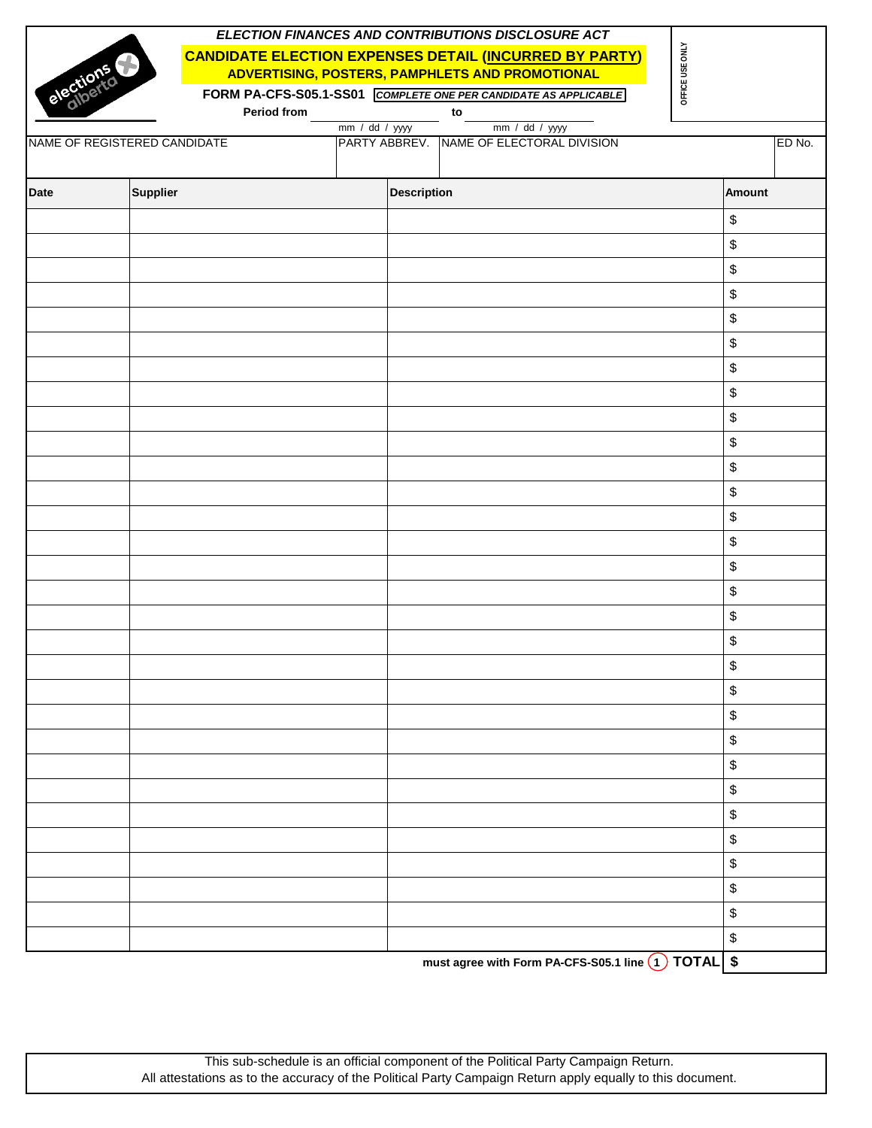|             |                              |             |                |                    | ELECTION FINANCES AND CONTRIBUTIONS DISCLOSURE ACT                                                               |                 |        |
|-------------|------------------------------|-------------|----------------|--------------------|------------------------------------------------------------------------------------------------------------------|-----------------|--------|
|             | elections                    |             |                |                    | <b>CANDIDATE ELECTION EXPENSES DETAIL (INCURRED BY PARTY)</b><br>ADVERTISING, POSTERS, PAMPHLETS AND PROMOTIONAL | OFFICE USE ONLY |        |
|             |                              |             |                |                    | FORM PA-CFS-S05.1-SS01 COMPLETE ONE PER CANDIDATE AS APPLICABLE                                                  |                 |        |
|             |                              | Period from |                |                    | to                                                                                                               |                 |        |
|             |                              |             | mm / dd / yyyy |                    | mm / dd / yyyy                                                                                                   |                 |        |
|             | NAME OF REGISTERED CANDIDATE |             |                |                    | PARTY ABBREV. NAME OF ELECTORAL DIVISION                                                                         |                 | ED No. |
| <b>Date</b> | Supplier                     |             |                | <b>Description</b> |                                                                                                                  |                 | Amount |
|             |                              |             |                |                    |                                                                                                                  | \$              |        |
|             |                              |             |                |                    |                                                                                                                  | \$              |        |
|             |                              |             |                |                    |                                                                                                                  | \$              |        |
|             |                              |             |                |                    |                                                                                                                  | \$              |        |
|             |                              |             |                |                    |                                                                                                                  | \$              |        |
|             |                              |             |                |                    |                                                                                                                  | \$              |        |
|             |                              |             |                |                    |                                                                                                                  | \$              |        |
|             |                              |             |                |                    |                                                                                                                  | \$              |        |
|             |                              |             |                |                    |                                                                                                                  | \$              |        |
|             |                              |             |                |                    |                                                                                                                  | \$              |        |
|             |                              |             |                |                    |                                                                                                                  | \$              |        |
|             |                              |             |                |                    |                                                                                                                  | \$              |        |
|             |                              |             |                |                    |                                                                                                                  | \$              |        |
|             |                              |             |                |                    |                                                                                                                  | \$              |        |
|             |                              |             |                |                    |                                                                                                                  | \$              |        |
|             |                              |             |                |                    |                                                                                                                  | \$              |        |
|             |                              |             |                |                    |                                                                                                                  | \$              |        |
|             |                              |             |                |                    |                                                                                                                  | \$              |        |
|             |                              |             |                |                    |                                                                                                                  | \$              |        |
|             |                              |             |                |                    |                                                                                                                  | \$              |        |
|             |                              |             |                |                    |                                                                                                                  | \$              |        |
|             |                              |             |                |                    |                                                                                                                  | \$              |        |
|             |                              |             |                |                    |                                                                                                                  | \$              |        |
|             |                              |             |                |                    |                                                                                                                  | \$              |        |
|             |                              |             |                |                    |                                                                                                                  | \$              |        |
|             |                              |             |                |                    |                                                                                                                  | \$              |        |
|             |                              |             |                |                    |                                                                                                                  | \$              |        |
|             |                              |             |                |                    |                                                                                                                  | \$              |        |
|             |                              |             |                |                    |                                                                                                                  | \$              |        |
|             |                              |             |                |                    |                                                                                                                  | $\,$            |        |
|             |                              |             |                |                    | must agree with Form PA-CFS-S05.1 line 1 TOTAL \$                                                                |                 |        |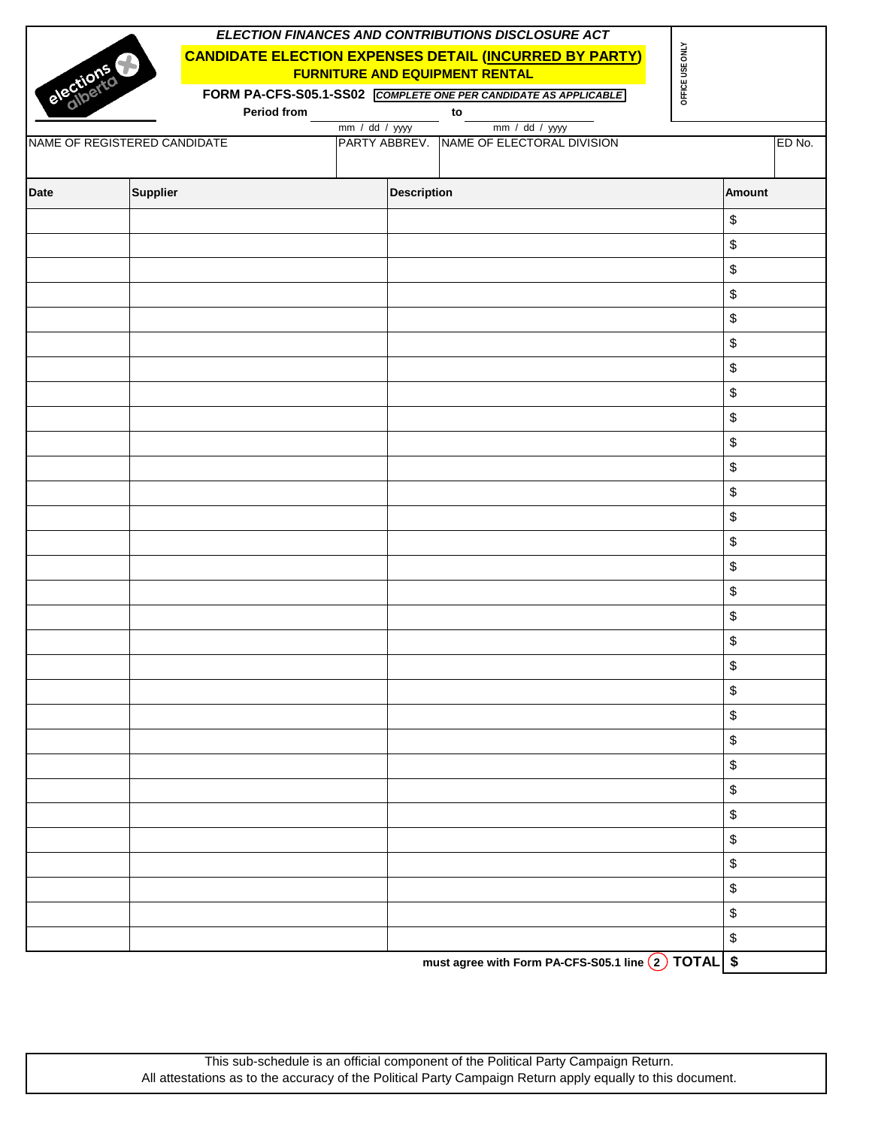|                              |                                                                                                                     |             |  |               |                    | ELECTION FINANCES AND CONTRIBUTIONS DISCLOSURE ACT              |  |                 |          |        |
|------------------------------|---------------------------------------------------------------------------------------------------------------------|-------------|--|---------------|--------------------|-----------------------------------------------------------------|--|-----------------|----------|--------|
|                              | <b>CANDIDATE ELECTION EXPENSES DETAIL (INCURRED BY PARTY)</b><br>elections<br><b>FURNITURE AND EQUIPMENT RENTAL</b> |             |  |               |                    |                                                                 |  |                 |          |        |
|                              |                                                                                                                     |             |  |               |                    | FORM PA-CFS-S05.1-SS02 COMPLETE ONE PER CANDIDATE AS APPLICABLE |  | OFFICE USE ONLY |          |        |
|                              |                                                                                                                     | Period from |  |               |                    | $\mathsf{to}$                                                   |  |                 |          |        |
| NAME OF REGISTERED CANDIDATE |                                                                                                                     |             |  | mm / dd / yyy |                    | mm / dd / yyyy<br>PARTY ABBREV. NAME OF ELECTORAL DIVISION      |  |                 |          | ED No. |
| <b>Date</b>                  | <b>Supplier</b>                                                                                                     |             |  |               | <b>Description</b> |                                                                 |  |                 | Amount   |        |
|                              |                                                                                                                     |             |  |               |                    |                                                                 |  |                 | \$       |        |
|                              |                                                                                                                     |             |  |               |                    |                                                                 |  |                 | \$       |        |
|                              |                                                                                                                     |             |  |               |                    |                                                                 |  |                 | \$       |        |
|                              |                                                                                                                     |             |  |               |                    |                                                                 |  |                 | \$       |        |
|                              |                                                                                                                     |             |  |               |                    |                                                                 |  |                 | \$       |        |
|                              |                                                                                                                     |             |  |               |                    |                                                                 |  |                 | \$       |        |
|                              |                                                                                                                     |             |  |               |                    |                                                                 |  |                 | \$       |        |
|                              |                                                                                                                     |             |  |               |                    |                                                                 |  |                 | \$       |        |
|                              |                                                                                                                     |             |  |               |                    |                                                                 |  |                 | \$       |        |
|                              |                                                                                                                     |             |  |               |                    |                                                                 |  |                 | \$       |        |
|                              |                                                                                                                     |             |  |               |                    |                                                                 |  |                 | \$       |        |
|                              |                                                                                                                     |             |  |               |                    |                                                                 |  |                 | \$       |        |
|                              |                                                                                                                     |             |  |               |                    |                                                                 |  |                 | \$       |        |
|                              |                                                                                                                     |             |  |               |                    |                                                                 |  |                 | \$       |        |
|                              |                                                                                                                     |             |  |               |                    |                                                                 |  |                 | \$       |        |
|                              |                                                                                                                     |             |  |               |                    |                                                                 |  |                 | \$       |        |
|                              |                                                                                                                     |             |  |               |                    |                                                                 |  |                 | \$       |        |
|                              |                                                                                                                     |             |  |               |                    |                                                                 |  |                 | \$       |        |
|                              |                                                                                                                     |             |  |               |                    |                                                                 |  |                 | \$       |        |
|                              |                                                                                                                     |             |  |               |                    |                                                                 |  |                 | \$       |        |
|                              |                                                                                                                     |             |  |               |                    |                                                                 |  |                 | \$       |        |
|                              |                                                                                                                     |             |  |               |                    |                                                                 |  |                 | \$<br>\$ |        |
|                              |                                                                                                                     |             |  |               |                    |                                                                 |  |                 | \$       |        |
|                              |                                                                                                                     |             |  |               |                    |                                                                 |  |                 | \$       |        |
|                              |                                                                                                                     |             |  |               |                    |                                                                 |  |                 | \$       |        |
|                              |                                                                                                                     |             |  |               |                    |                                                                 |  |                 | \$       |        |
|                              |                                                                                                                     |             |  |               |                    |                                                                 |  |                 | \$       |        |
|                              |                                                                                                                     |             |  |               |                    |                                                                 |  |                 | \$       |        |
|                              |                                                                                                                     |             |  |               |                    |                                                                 |  |                 | $\,$     |        |
|                              |                                                                                                                     |             |  |               |                    | must agree with Form PA-CFS-S05.1 line 2 TOTAL \$               |  |                 |          |        |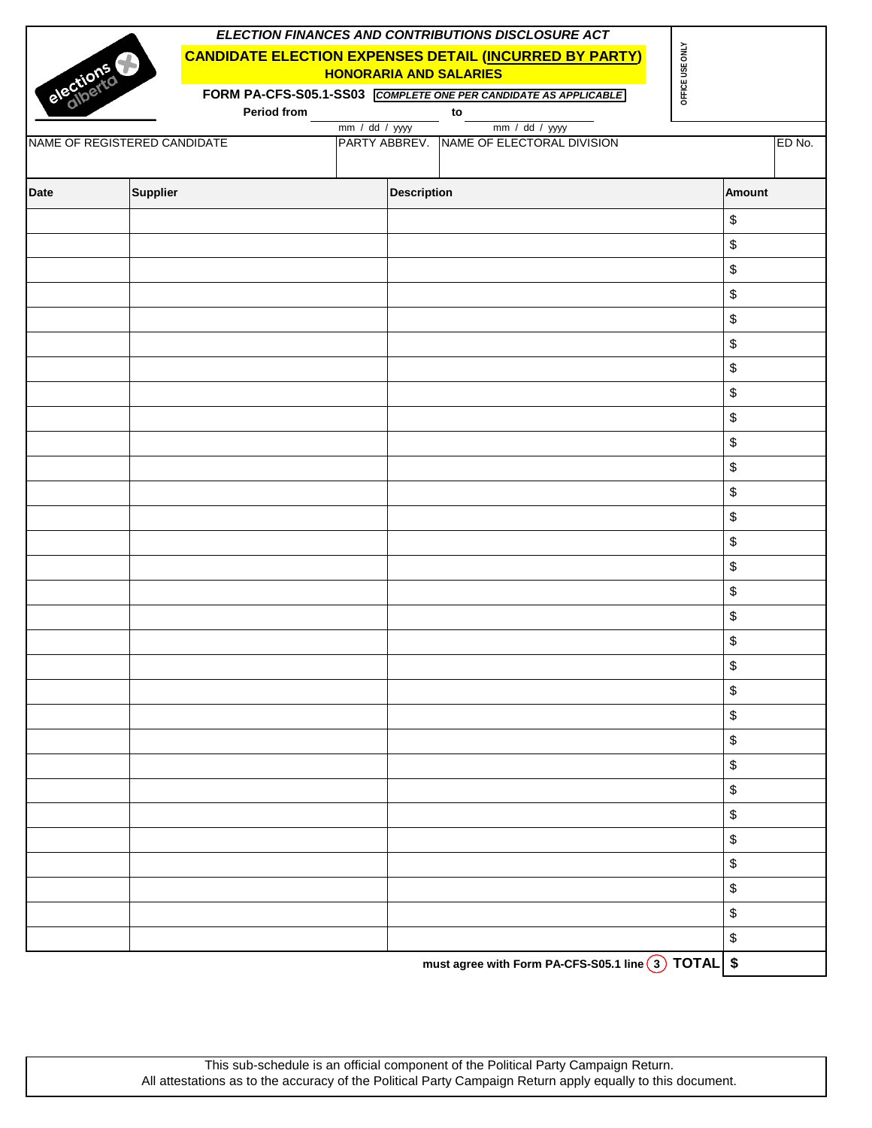| ELECTION FINANCES AND CONTRIBUTIONS DISCLOSURE ACT<br>OFFICE USE ONLY<br><b>CANDIDATE ELECTION EXPENSES DETAIL (INCURRED BY PARTY)</b><br>elections<br><b>HONORARIA AND SALARIES</b><br>FORM PA-CFS-S05.1-SS03 COMPLETE ONE PER CANDIDATE AS APPLICABLE |                              |             |  |                    |                                                            |  |               |        |
|---------------------------------------------------------------------------------------------------------------------------------------------------------------------------------------------------------------------------------------------------------|------------------------------|-------------|--|--------------------|------------------------------------------------------------|--|---------------|--------|
|                                                                                                                                                                                                                                                         |                              | Period from |  |                    | $\mathsf{to}$                                              |  |               |        |
|                                                                                                                                                                                                                                                         | NAME OF REGISTERED CANDIDATE |             |  | mm / dd / yyy      | mm / dd / yyyy<br>PARTY ABBREV. NAME OF ELECTORAL DIVISION |  |               | ED No. |
| <b>Date</b>                                                                                                                                                                                                                                             | <b>Supplier</b>              |             |  | <b>Description</b> |                                                            |  | <b>Amount</b> |        |
|                                                                                                                                                                                                                                                         |                              |             |  |                    |                                                            |  | \$            |        |
|                                                                                                                                                                                                                                                         |                              |             |  |                    |                                                            |  | \$            |        |
|                                                                                                                                                                                                                                                         |                              |             |  |                    |                                                            |  | \$            |        |
|                                                                                                                                                                                                                                                         |                              |             |  |                    |                                                            |  | \$            |        |
|                                                                                                                                                                                                                                                         |                              |             |  |                    |                                                            |  | \$            |        |
|                                                                                                                                                                                                                                                         |                              |             |  |                    |                                                            |  | \$            |        |
|                                                                                                                                                                                                                                                         |                              |             |  |                    |                                                            |  | \$            |        |
|                                                                                                                                                                                                                                                         |                              |             |  |                    |                                                            |  | \$            |        |
|                                                                                                                                                                                                                                                         |                              |             |  |                    |                                                            |  | \$            |        |
|                                                                                                                                                                                                                                                         |                              |             |  |                    |                                                            |  | \$            |        |
|                                                                                                                                                                                                                                                         |                              |             |  |                    |                                                            |  | \$            |        |
|                                                                                                                                                                                                                                                         |                              |             |  |                    |                                                            |  | \$            |        |
|                                                                                                                                                                                                                                                         |                              |             |  |                    |                                                            |  | \$            |        |
|                                                                                                                                                                                                                                                         |                              |             |  |                    |                                                            |  | \$            |        |
|                                                                                                                                                                                                                                                         |                              |             |  |                    |                                                            |  | \$            |        |
|                                                                                                                                                                                                                                                         |                              |             |  |                    |                                                            |  | \$            |        |
|                                                                                                                                                                                                                                                         |                              |             |  |                    |                                                            |  | \$            |        |
|                                                                                                                                                                                                                                                         |                              |             |  |                    |                                                            |  | $\,$          |        |
|                                                                                                                                                                                                                                                         |                              |             |  |                    |                                                            |  | \$            |        |
|                                                                                                                                                                                                                                                         |                              |             |  |                    |                                                            |  | \$            |        |
|                                                                                                                                                                                                                                                         |                              |             |  |                    |                                                            |  | \$            |        |
|                                                                                                                                                                                                                                                         |                              |             |  |                    |                                                            |  | \$            |        |
|                                                                                                                                                                                                                                                         |                              |             |  |                    |                                                            |  | \$            |        |
|                                                                                                                                                                                                                                                         |                              |             |  |                    |                                                            |  | \$            |        |
|                                                                                                                                                                                                                                                         |                              |             |  |                    |                                                            |  | \$            |        |
|                                                                                                                                                                                                                                                         |                              |             |  |                    |                                                            |  | \$            |        |
|                                                                                                                                                                                                                                                         |                              |             |  |                    |                                                            |  | \$            |        |
|                                                                                                                                                                                                                                                         |                              |             |  |                    |                                                            |  | \$            |        |
|                                                                                                                                                                                                                                                         |                              |             |  |                    |                                                            |  | \$            |        |
|                                                                                                                                                                                                                                                         |                              |             |  |                    |                                                            |  | $\,$          |        |
|                                                                                                                                                                                                                                                         |                              |             |  |                    | must agree with Form PA-CFS-S05.1 line 3 TOTAL \$          |  |               |        |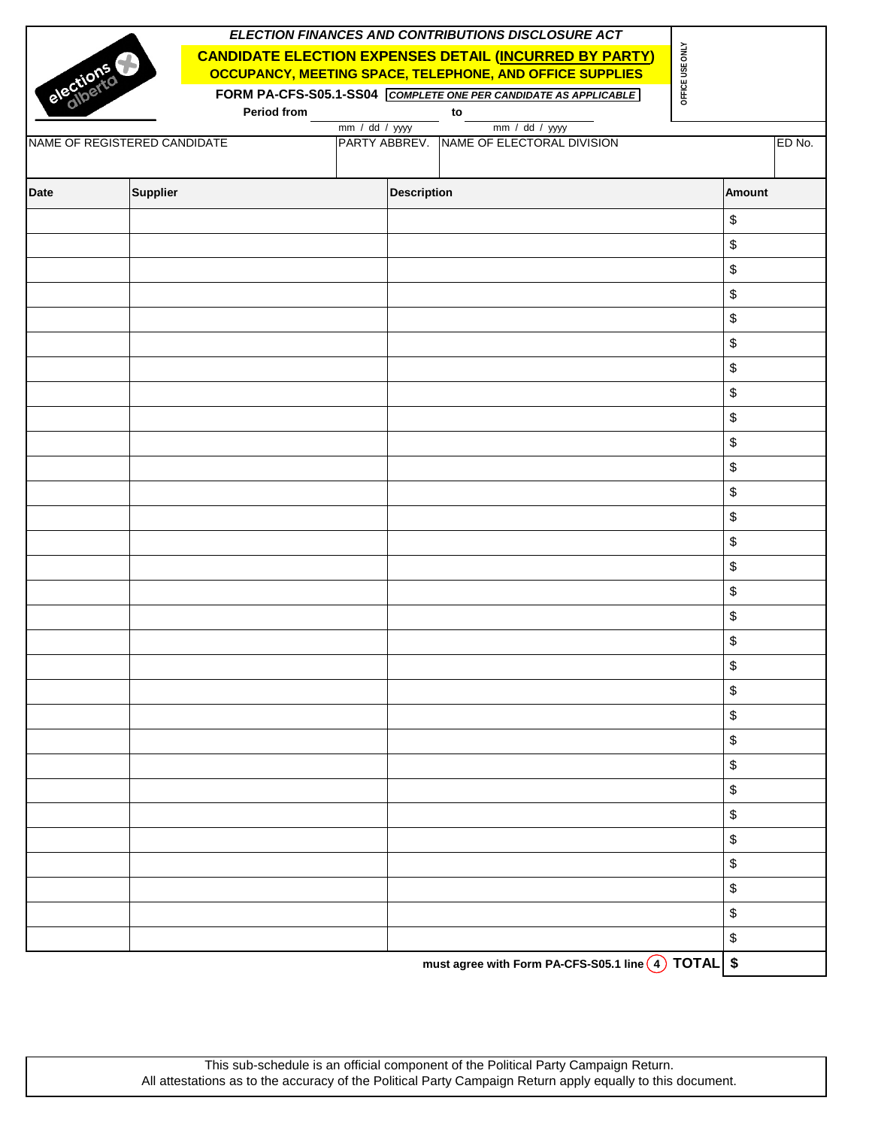|             |                              |                |                    | ELECTION FINANCES AND CONTRIBUTIONS DISCLOSURE ACT              |                 |                                           |        |
|-------------|------------------------------|----------------|--------------------|-----------------------------------------------------------------|-----------------|-------------------------------------------|--------|
|             |                              |                |                    | <b>CANDIDATE ELECTION EXPENSES DETAIL (INCURRED BY PARTY)</b>   | OFFICE USE ONLY |                                           |        |
|             |                              |                |                    | OCCUPANCY, MEETING SPACE, TELEPHONE, AND OFFICE SUPPLIES        |                 |                                           |        |
| elections   |                              |                |                    | FORM PA-CFS-S05.1-SS04 COMPLETE ONE PER CANDIDATE AS APPLICABLE |                 |                                           |        |
|             | Period from                  |                | $\mathsf{to}$      |                                                                 |                 |                                           |        |
|             |                              | mm / dd / yyyy |                    | mm / dd / yyyy                                                  |                 |                                           |        |
|             | NAME OF REGISTERED CANDIDATE |                |                    | PARTY ABBREV. NAME OF ELECTORAL DIVISION                        |                 |                                           | ED No. |
|             |                              |                |                    |                                                                 |                 |                                           |        |
| <b>Date</b> | Supplier                     |                | <b>Description</b> |                                                                 |                 | Amount                                    |        |
|             |                              |                |                    |                                                                 |                 | \$                                        |        |
|             |                              |                |                    |                                                                 |                 | \$                                        |        |
|             |                              |                |                    |                                                                 |                 | \$                                        |        |
|             |                              |                |                    |                                                                 |                 | \$                                        |        |
|             |                              |                |                    |                                                                 |                 | \$                                        |        |
|             |                              |                |                    |                                                                 |                 | \$                                        |        |
|             |                              |                |                    |                                                                 |                 | \$                                        |        |
|             |                              |                |                    |                                                                 |                 | \$                                        |        |
|             |                              |                |                    |                                                                 |                 | \$                                        |        |
|             |                              |                |                    |                                                                 |                 | \$                                        |        |
|             |                              |                |                    |                                                                 |                 | $\, \, \raisebox{12pt}{$\scriptstyle \$}$ |        |
|             |                              |                |                    |                                                                 |                 | \$                                        |        |
|             |                              |                |                    |                                                                 |                 | \$                                        |        |
|             |                              |                |                    |                                                                 |                 | \$                                        |        |
|             |                              |                |                    |                                                                 |                 | \$                                        |        |
|             |                              |                |                    |                                                                 |                 | \$                                        |        |
|             |                              |                |                    |                                                                 |                 | \$                                        |        |
|             |                              |                |                    |                                                                 |                 | \$                                        |        |
|             |                              |                |                    |                                                                 |                 | \$                                        |        |
|             |                              |                |                    |                                                                 |                 | \$                                        |        |
|             |                              |                |                    |                                                                 |                 | \$                                        |        |
|             |                              |                |                    |                                                                 |                 | \$                                        |        |
|             |                              |                |                    |                                                                 |                 | \$                                        |        |
|             |                              |                |                    |                                                                 |                 | \$                                        |        |
|             |                              |                |                    |                                                                 |                 | \$                                        |        |
|             |                              |                |                    |                                                                 |                 | \$                                        |        |
|             |                              |                |                    |                                                                 |                 | \$                                        |        |
|             |                              |                |                    |                                                                 |                 | \$                                        |        |
|             |                              |                |                    |                                                                 |                 | \$                                        |        |
|             |                              |                |                    |                                                                 |                 | \$                                        |        |
|             |                              |                |                    | must agree with Form PA-CFS-S05.1 line 4 TOTAL \$               |                 |                                           |        |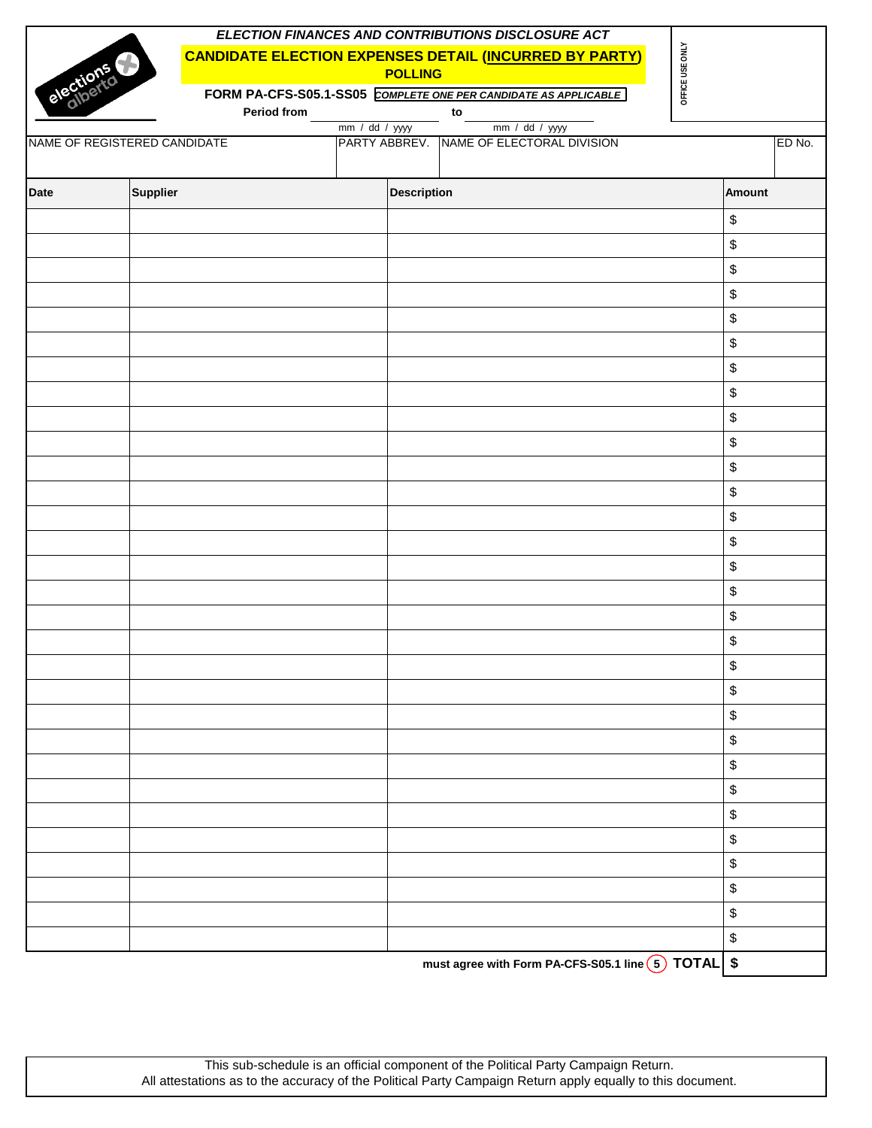|           |                              |             |                |                    | ELECTION FINANCES AND CONTRIBUTIONS DISCLOSURE ACT              |                 |                                           |        |
|-----------|------------------------------|-------------|----------------|--------------------|-----------------------------------------------------------------|-----------------|-------------------------------------------|--------|
|           |                              |             |                |                    | <b>CANDIDATE ELECTION EXPENSES DETAIL (INCURRED BY PARTY)</b>   |                 |                                           |        |
| elections |                              |             |                | <b>POLLING</b>     |                                                                 | OFFICE USE ONLY |                                           |        |
|           |                              |             |                |                    | FORM PA-CFS-S05.1-SS05 COMPLETE ONE PER CANDIDATE AS APPLICABLE |                 |                                           |        |
|           |                              | Period from |                |                    | to                                                              |                 |                                           |        |
|           |                              |             | mm / dd / yyyy |                    | mm / dd / yyyy                                                  |                 |                                           |        |
|           | NAME OF REGISTERED CANDIDATE |             |                |                    | PARTY ABBREV. NAME OF ELECTORAL DIVISION                        |                 |                                           | ED No. |
|           |                              |             |                |                    |                                                                 |                 |                                           |        |
| Date      | <b>Supplier</b>              |             |                | <b>Description</b> |                                                                 |                 | <b>Amount</b>                             |        |
|           |                              |             |                |                    |                                                                 |                 | \$                                        |        |
|           |                              |             |                |                    |                                                                 |                 | $\, \, \raisebox{12pt}{$\scriptstyle \$}$ |        |
|           |                              |             |                |                    |                                                                 |                 | \$                                        |        |
|           |                              |             |                |                    |                                                                 |                 | $\, \, \raisebox{12pt}{$\scriptstyle \$}$ |        |
|           |                              |             |                |                    |                                                                 |                 | \$                                        |        |
|           |                              |             |                |                    |                                                                 |                 | \$                                        |        |
|           |                              |             |                |                    |                                                                 |                 | \$                                        |        |
|           |                              |             |                |                    |                                                                 |                 | \$                                        |        |
|           |                              |             |                |                    |                                                                 |                 | $\, \, \raisebox{12pt}{$\scriptstyle \$}$ |        |
|           |                              |             |                |                    |                                                                 |                 | \$                                        |        |
|           |                              |             |                |                    |                                                                 |                 | \$                                        |        |
|           |                              |             |                |                    |                                                                 |                 | $\, \, \raisebox{12pt}{$\scriptstyle \$}$ |        |
|           |                              |             |                |                    |                                                                 |                 | $\, \, \raisebox{12pt}{$\scriptstyle \$}$ |        |
|           |                              |             |                |                    |                                                                 |                 | \$                                        |        |
|           |                              |             |                |                    |                                                                 |                 | $\, \, \raisebox{12pt}{$\scriptstyle \$}$ |        |
|           |                              |             |                |                    |                                                                 |                 | \$                                        |        |
|           |                              |             |                |                    |                                                                 |                 | $\, \, \raisebox{12pt}{$\scriptstyle \$}$ |        |
|           |                              |             |                |                    |                                                                 |                 | \$                                        |        |
|           |                              |             |                |                    |                                                                 |                 | \$                                        |        |
|           |                              |             |                |                    |                                                                 |                 | \$                                        |        |
|           |                              |             |                |                    |                                                                 |                 | \$                                        |        |
|           |                              |             |                |                    |                                                                 |                 | \$                                        |        |
|           |                              |             |                |                    |                                                                 |                 | \$                                        |        |
|           |                              |             |                |                    |                                                                 |                 | \$                                        |        |
|           |                              |             |                |                    |                                                                 |                 | \$                                        |        |
|           |                              |             |                |                    |                                                                 |                 | \$                                        |        |
|           |                              |             |                |                    |                                                                 |                 | \$                                        |        |
|           |                              |             |                |                    |                                                                 |                 | \$                                        |        |
|           |                              |             |                |                    |                                                                 |                 | \$                                        |        |
|           |                              |             |                |                    |                                                                 |                 | \$                                        |        |
|           |                              |             |                |                    | must agree with Form PA-CFS-S05.1 line (5) TOTAL \$             |                 |                                           |        |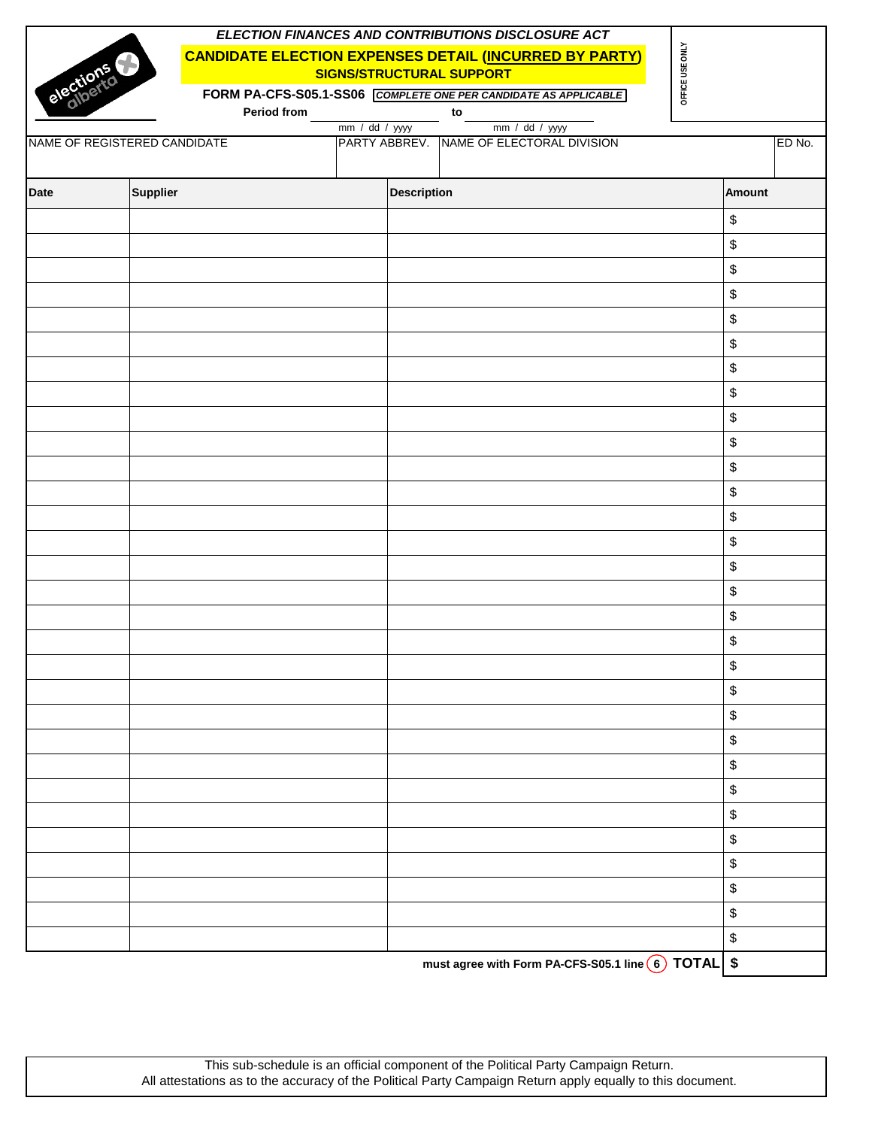|             |                              |             |                    |                    | ELECTION FINANCES AND CONTRIBUTIONS DISCLOSURE ACT              |                 |               |        |
|-------------|------------------------------|-------------|--------------------|--------------------|-----------------------------------------------------------------|-----------------|---------------|--------|
|             |                              |             |                    |                    | <b>CANDIDATE ELECTION EXPENSES DETAIL (INCURRED BY PARTY)</b>   |                 |               |        |
|             | elections                    |             |                    |                    | <b>SIGNS/STRUCTURAL SUPPORT</b>                                 | OFFICE USE ONLY |               |        |
|             |                              |             |                    |                    | FORM PA-CFS-S05.1-SS06 COMPLETE ONE PER CANDIDATE AS APPLICABLE |                 |               |        |
|             |                              | Period from | $mm / dd / yy$ yyy |                    | to<br>mm / dd / yyyy                                            |                 |               |        |
|             | NAME OF REGISTERED CANDIDATE |             |                    |                    | PARTY ABBREV. NAME OF ELECTORAL DIVISION                        |                 |               | ED No. |
|             |                              |             |                    |                    |                                                                 |                 |               |        |
| <b>Date</b> | <b>Supplier</b>              |             |                    | <b>Description</b> |                                                                 |                 | <b>Amount</b> |        |
|             |                              |             |                    |                    |                                                                 |                 | \$            |        |
|             |                              |             |                    |                    |                                                                 |                 | \$            |        |
|             |                              |             |                    |                    |                                                                 |                 | \$            |        |
|             |                              |             |                    |                    |                                                                 |                 | \$            |        |
|             |                              |             |                    |                    |                                                                 |                 | \$            |        |
|             |                              |             |                    |                    |                                                                 |                 | \$            |        |
|             |                              |             |                    |                    |                                                                 |                 | \$            |        |
|             |                              |             |                    |                    |                                                                 |                 | \$            |        |
|             |                              |             |                    |                    |                                                                 |                 | \$            |        |
|             |                              |             |                    |                    |                                                                 |                 | \$            |        |
|             |                              |             |                    |                    |                                                                 |                 | \$            |        |
|             |                              |             |                    |                    |                                                                 |                 | \$            |        |
|             |                              |             |                    |                    |                                                                 |                 | \$            |        |
|             |                              |             |                    |                    |                                                                 |                 | \$            |        |
|             |                              |             |                    |                    |                                                                 |                 | \$<br>\$      |        |
|             |                              |             |                    |                    |                                                                 |                 | \$            |        |
|             |                              |             |                    |                    |                                                                 |                 | \$            |        |
|             |                              |             |                    |                    |                                                                 |                 | \$            |        |
|             |                              |             |                    |                    |                                                                 |                 | \$            |        |
|             |                              |             |                    |                    |                                                                 |                 | \$            |        |
|             |                              |             |                    |                    |                                                                 |                 | \$            |        |
|             |                              |             |                    |                    |                                                                 |                 | \$            |        |
|             |                              |             |                    |                    |                                                                 |                 | \$            |        |
|             |                              |             |                    |                    |                                                                 |                 | \$            |        |
|             |                              |             |                    |                    |                                                                 |                 | \$            |        |
|             |                              |             |                    |                    |                                                                 |                 | \$            |        |
|             |                              |             |                    |                    |                                                                 |                 | \$            |        |
|             |                              |             |                    |                    |                                                                 |                 | \$            |        |
|             |                              |             |                    |                    |                                                                 |                 | $\,$          |        |
|             |                              |             |                    |                    | must agree with Form PA-CFS-S05.1 line 6 TOTAL \$               |                 |               |        |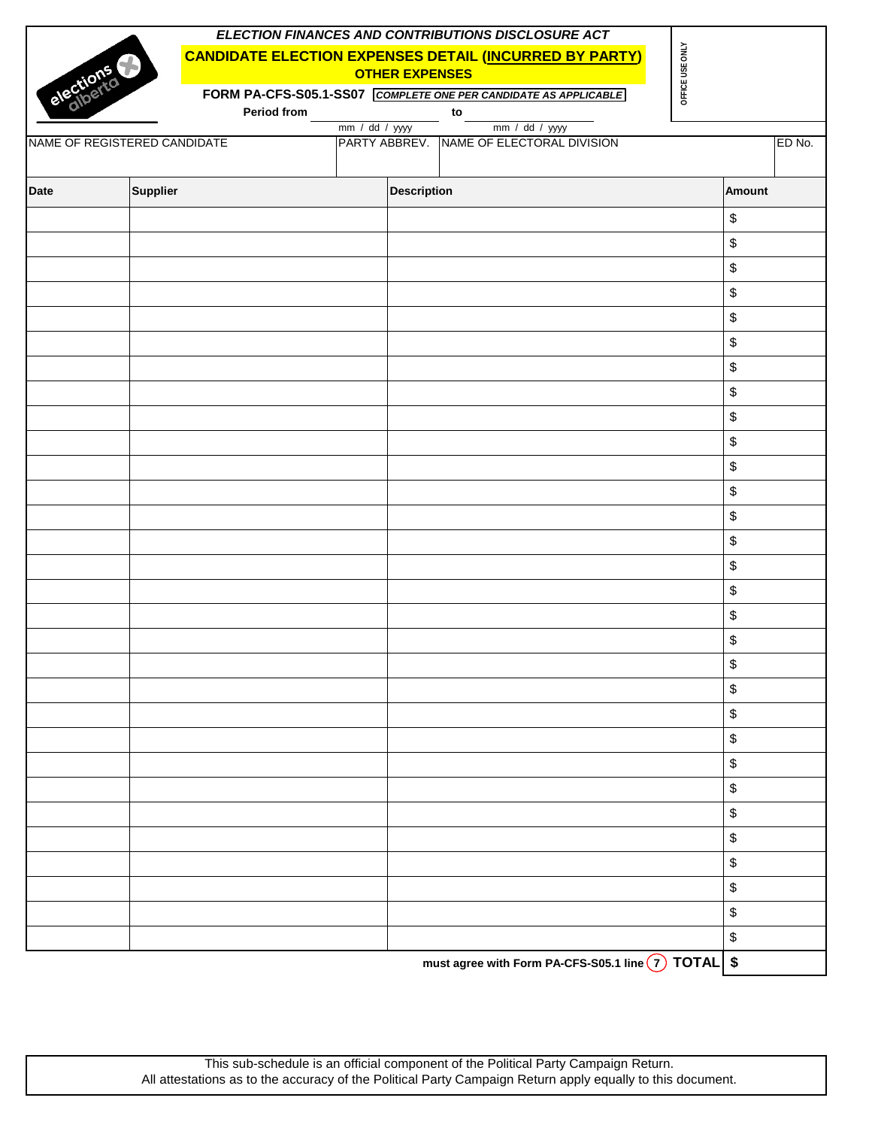|             |                              |             |                       | ELECTION FINANCES AND CONTRIBUTIONS DISCLOSURE ACT              |                 |          |        |
|-------------|------------------------------|-------------|-----------------------|-----------------------------------------------------------------|-----------------|----------|--------|
|             |                              |             |                       | <b>CANDIDATE ELECTION EXPENSES DETAIL (INCURRED BY PARTY)</b>   |                 |          |        |
|             | elections                    |             | <b>OTHER EXPENSES</b> |                                                                 | OFFICE USE ONLY |          |        |
|             |                              |             |                       | FORM PA-CFS-S05.1-SS07 COMPLETE ONE PER CANDIDATE AS APPLICABLE |                 |          |        |
|             |                              | Period from |                       | to                                                              |                 |          |        |
|             | NAME OF REGISTERED CANDIDATE |             | mm / dd / yyyy        | mm / dd / yyyy<br>PARTY ABBREV. NAME OF ELECTORAL DIVISION      |                 |          | ED No. |
|             |                              |             |                       |                                                                 |                 |          |        |
| <b>Date</b> | Supplier                     |             | <b>Description</b>    |                                                                 |                 | Amount   |        |
|             |                              |             |                       |                                                                 |                 | \$       |        |
|             |                              |             |                       |                                                                 |                 | \$       |        |
|             |                              |             |                       |                                                                 |                 | \$       |        |
|             |                              |             |                       |                                                                 |                 | \$       |        |
|             |                              |             |                       |                                                                 |                 | \$       |        |
|             |                              |             |                       |                                                                 |                 | \$       |        |
|             |                              |             |                       |                                                                 |                 | \$       |        |
|             |                              |             |                       |                                                                 |                 | \$       |        |
|             |                              |             |                       |                                                                 |                 | \$       |        |
|             |                              |             |                       |                                                                 |                 | \$       |        |
|             |                              |             |                       |                                                                 |                 | \$       |        |
|             |                              |             |                       |                                                                 |                 | \$       |        |
|             |                              |             |                       |                                                                 |                 | \$       |        |
|             |                              |             |                       |                                                                 |                 | \$       |        |
|             |                              |             |                       |                                                                 |                 | \$<br>\$ |        |
|             |                              |             |                       |                                                                 |                 | \$       |        |
|             |                              |             |                       |                                                                 |                 | \$       |        |
|             |                              |             |                       |                                                                 |                 | \$       |        |
|             |                              |             |                       |                                                                 |                 | \$       |        |
|             |                              |             |                       |                                                                 |                 | \$       |        |
|             |                              |             |                       |                                                                 |                 | \$       |        |
|             |                              |             |                       |                                                                 |                 | \$       |        |
|             |                              |             |                       |                                                                 |                 | \$       |        |
|             |                              |             |                       |                                                                 |                 | \$       |        |
|             |                              |             |                       |                                                                 |                 | \$       |        |
|             |                              |             |                       |                                                                 |                 | \$       |        |
|             |                              |             |                       |                                                                 |                 | \$       |        |
|             |                              |             |                       |                                                                 |                 | \$       |        |
|             |                              |             |                       |                                                                 |                 | \$       |        |
|             |                              |             |                       | must agree with Form PA-CFS-S05.1 line $\boxed{7}$ TOTAL \$     |                 |          |        |